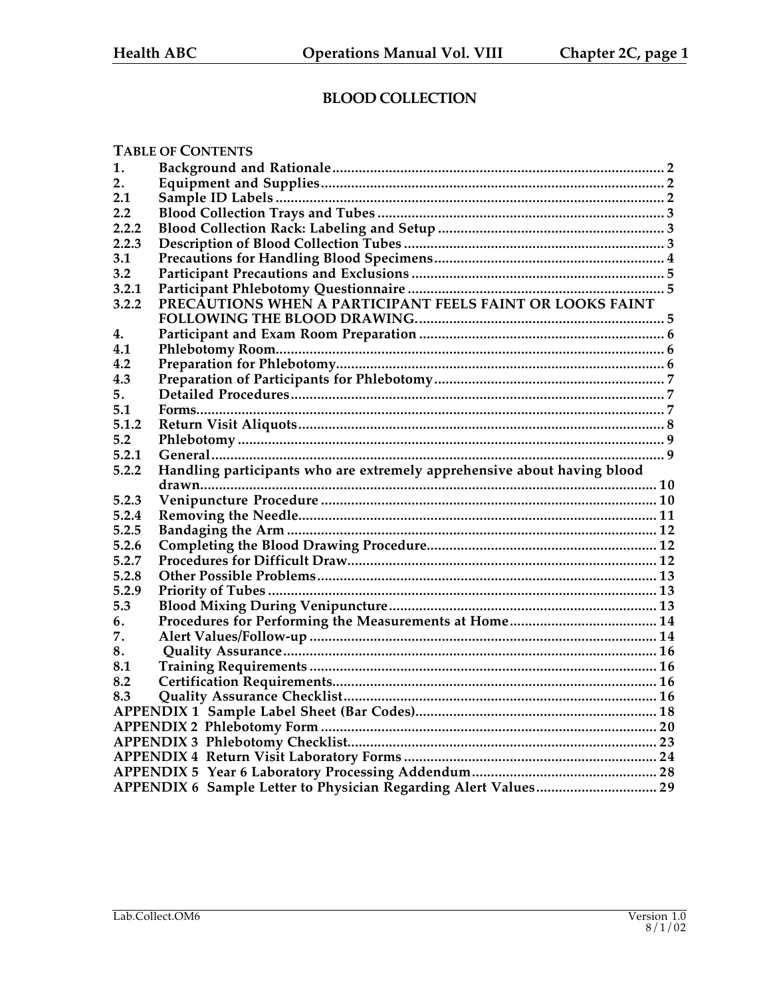## **BLOOD COLLECTION**

|       | <b>TABLE OF CONTENTS</b>                                                |  |
|-------|-------------------------------------------------------------------------|--|
| 1.    |                                                                         |  |
| 2.    |                                                                         |  |
| 2.1   |                                                                         |  |
| 2.2   |                                                                         |  |
| 2.2.2 |                                                                         |  |
| 2.2.3 |                                                                         |  |
| 3.1   |                                                                         |  |
| 3.2   |                                                                         |  |
| 3.2.1 |                                                                         |  |
| 3.2.2 |                                                                         |  |
|       |                                                                         |  |
| 4.    |                                                                         |  |
| 4.1   |                                                                         |  |
| 4.2   |                                                                         |  |
| 4.3   |                                                                         |  |
| 5.    |                                                                         |  |
| 5.1   |                                                                         |  |
| 5.1.2 |                                                                         |  |
| 5.2   |                                                                         |  |
| 5.2.1 |                                                                         |  |
|       |                                                                         |  |
| 5.2.2 | Handling participants who are extremely apprehensive about having blood |  |
|       |                                                                         |  |
| 5.2.3 |                                                                         |  |
| 5.2.4 |                                                                         |  |
| 5.2.5 |                                                                         |  |
| 5.2.6 |                                                                         |  |
| 5.2.7 |                                                                         |  |
| 5.2.8 |                                                                         |  |
| 5.2.9 |                                                                         |  |
| 5.3   |                                                                         |  |
| 6.    |                                                                         |  |
| 7.    |                                                                         |  |
| 8.    |                                                                         |  |
| 8.1   |                                                                         |  |
| 8.2   |                                                                         |  |
| 8.3   |                                                                         |  |
|       |                                                                         |  |
|       |                                                                         |  |
|       |                                                                         |  |
|       |                                                                         |  |
|       |                                                                         |  |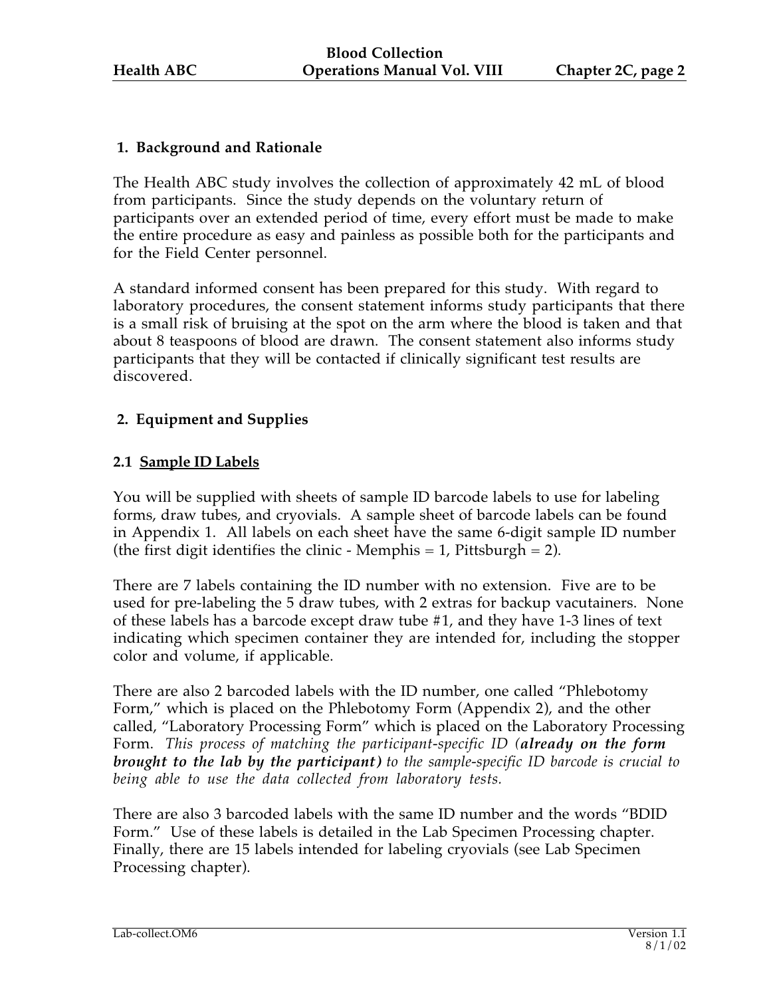## **1. Background and Rationale**

The Health ABC study involves the collection of approximately 42 mL of blood from participants. Since the study depends on the voluntary return of participants over an extended period of time, every effort must be made to make the entire procedure as easy and painless as possible both for the participants and for the Field Center personnel.

A standard informed consent has been prepared for this study. With regard to laboratory procedures, the consent statement informs study participants that there is a small risk of bruising at the spot on the arm where the blood is taken and that about 8 teaspoons of blood are drawn. The consent statement also informs study participants that they will be contacted if clinically significant test results are discovered.

## **2. Equipment and Supplies**

## **2.1 Sample ID Labels**

You will be supplied with sheets of sample ID barcode labels to use for labeling forms, draw tubes, and cryovials. A sample sheet of barcode labels can be found in Appendix 1. All labels on each sheet have the same 6-digit sample ID number (the first digit identifies the clinic - Memphis  $= 1$ , Pittsburgh  $= 2$ ).

There are 7 labels containing the ID number with no extension. Five are to be used for pre-labeling the 5 draw tubes, with 2 extras for backup vacutainers. None of these labels has a barcode except draw tube #1, and they have 1-3 lines of text indicating which specimen container they are intended for, including the stopper color and volume, if applicable.

There are also 2 barcoded labels with the ID number, one called "Phlebotomy Form," which is placed on the Phlebotomy Form (Appendix 2), and the other called, "Laboratory Processing Form" which is placed on the Laboratory Processing Form. *This process of matching the participant-specific ID (already on the form brought to the lab by the participant) to the sample-specific ID barcode is crucial to being able to use the data collected from laboratory tests.*

There are also 3 barcoded labels with the same ID number and the words "BDID Form." Use of these labels is detailed in the Lab Specimen Processing chapter. Finally, there are 15 labels intended for labeling cryovials (see Lab Specimen Processing chapter).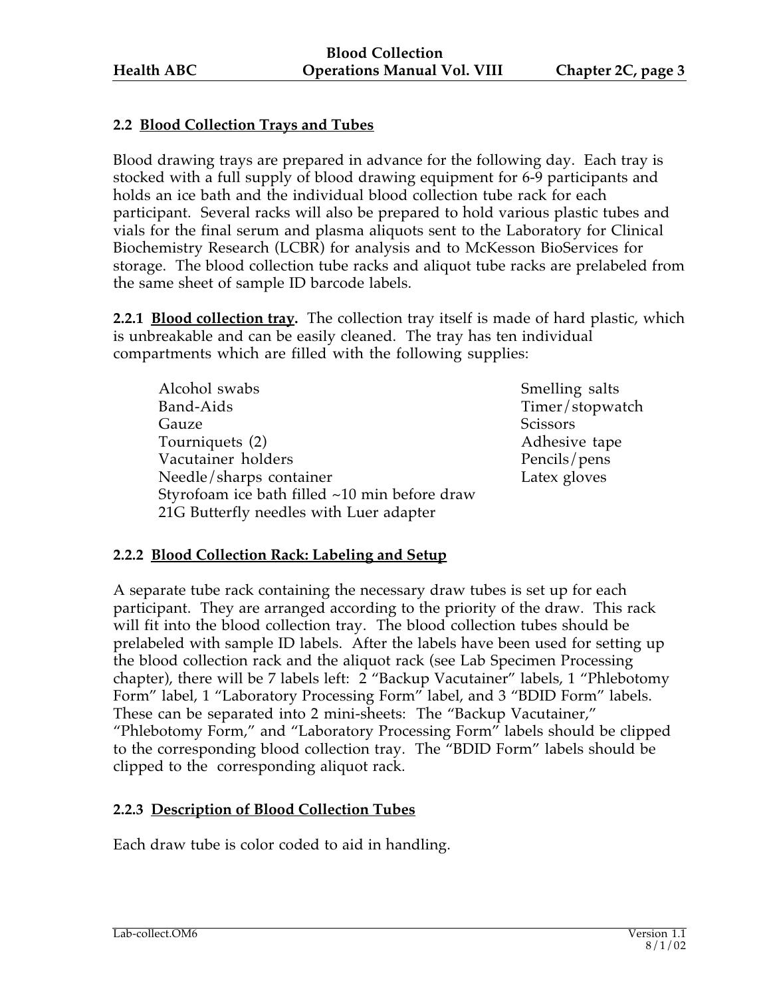## **2.2 Blood Collection Trays and Tubes**

Blood drawing trays are prepared in advance for the following day. Each tray is stocked with a full supply of blood drawing equipment for 6-9 participants and holds an ice bath and the individual blood collection tube rack for each participant. Several racks will also be prepared to hold various plastic tubes and vials for the final serum and plasma aliquots sent to the Laboratory for Clinical Biochemistry Research (LCBR) for analysis and to McKesson BioServices for storage. The blood collection tube racks and aliquot tube racks are prelabeled from the same sheet of sample ID barcode labels.

**2.2.1 Blood collection tray.** The collection tray itself is made of hard plastic, which is unbreakable and can be easily cleaned. The tray has ten individual compartments which are filled with the following supplies:

| Alcohol swabs                                 | <b>Smelling</b> |
|-----------------------------------------------|-----------------|
| Band-Aids                                     | Timer/s         |
| Gauze                                         | Scissors        |
| Tourniquets (2)                               | Adhesiy         |
| Vacutainer holders                            | Pencils/        |
| Needle/sharps container                       | Latex gl        |
| Styrofoam ice bath filled ~10 min before draw |                 |
| 21G Butterfly needles with Luer adapter       |                 |

Smelling salts Timer/stopwatch Adhesive tape Pencils/pens Latex gloves

#### **2.2.2 Blood Collection Rack: Labeling and Setup**

A separate tube rack containing the necessary draw tubes is set up for each participant. They are arranged according to the priority of the draw. This rack will fit into the blood collection tray. The blood collection tubes should be prelabeled with sample ID labels. After the labels have been used for setting up the blood collection rack and the aliquot rack (see Lab Specimen Processing chapter), there will be 7 labels left: 2 "Backup Vacutainer" labels, 1 "Phlebotomy Form" label, 1 "Laboratory Processing Form" label, and 3 "BDID Form" labels. These can be separated into 2 mini-sheets: The "Backup Vacutainer," "Phlebotomy Form," and "Laboratory Processing Form" labels should be clipped to the corresponding blood collection tray. The "BDID Form" labels should be clipped to the corresponding aliquot rack.

## **2.2.3 Description of Blood Collection Tubes**

Each draw tube is color coded to aid in handling.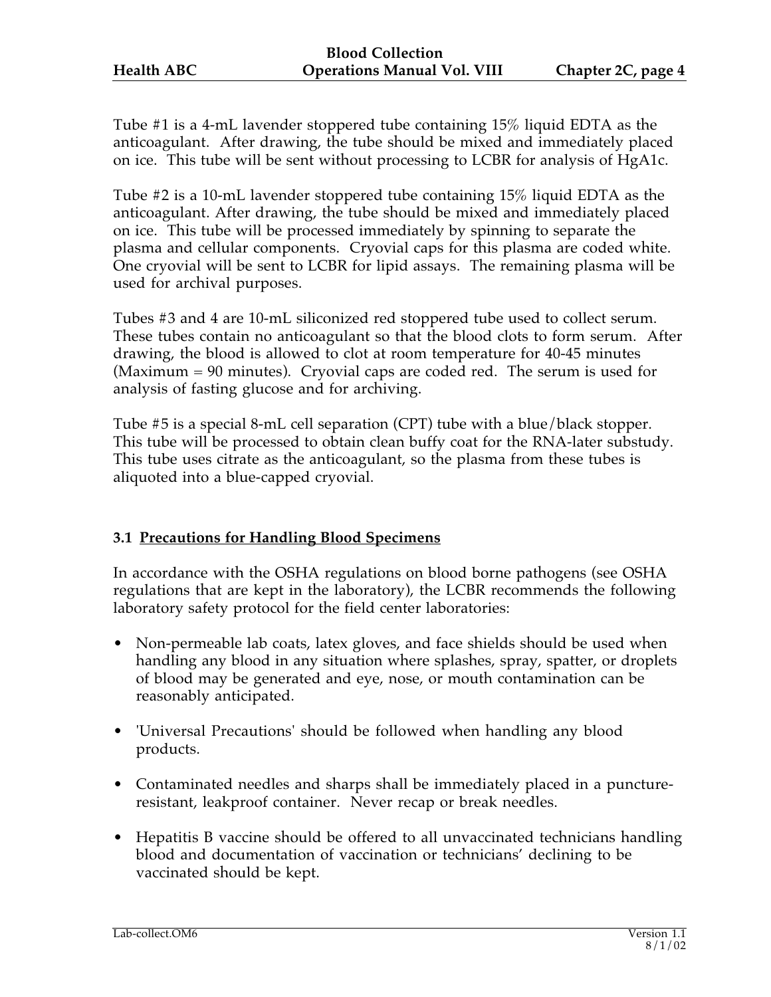Tube #1 is a 4-mL lavender stoppered tube containing 15% liquid EDTA as the anticoagulant. After drawing, the tube should be mixed and immediately placed on ice. This tube will be sent without processing to LCBR for analysis of HgA1c.

Tube #2 is a 10-mL lavender stoppered tube containing 15% liquid EDTA as the anticoagulant. After drawing, the tube should be mixed and immediately placed on ice. This tube will be processed immediately by spinning to separate the plasma and cellular components. Cryovial caps for this plasma are coded white. One cryovial will be sent to LCBR for lipid assays. The remaining plasma will be used for archival purposes.

Tubes #3 and 4 are 10-mL siliconized red stoppered tube used to collect serum. These tubes contain no anticoagulant so that the blood clots to form serum. After drawing, the blood is allowed to clot at room temperature for 40-45 minutes (Maximum = 90 minutes). Cryovial caps are coded red. The serum is used for analysis of fasting glucose and for archiving.

Tube #5 is a special 8-mL cell separation (CPT) tube with a blue/black stopper. This tube will be processed to obtain clean buffy coat for the RNA-later substudy. This tube uses citrate as the anticoagulant, so the plasma from these tubes is aliquoted into a blue-capped cryovial.

## **3.1 Precautions for Handling Blood Specimens**

In accordance with the OSHA regulations on blood borne pathogens (see OSHA regulations that are kept in the laboratory), the LCBR recommends the following laboratory safety protocol for the field center laboratories:

- Non-permeable lab coats, latex gloves, and face shields should be used when handling any blood in any situation where splashes, spray, spatter, or droplets of blood may be generated and eye, nose, or mouth contamination can be reasonably anticipated.
- 'Universal Precautions' should be followed when handling any blood products.
- Contaminated needles and sharps shall be immediately placed in a punctureresistant, leakproof container. Never recap or break needles.
- Hepatitis B vaccine should be offered to all unvaccinated technicians handling blood and documentation of vaccination or technicians' declining to be vaccinated should be kept.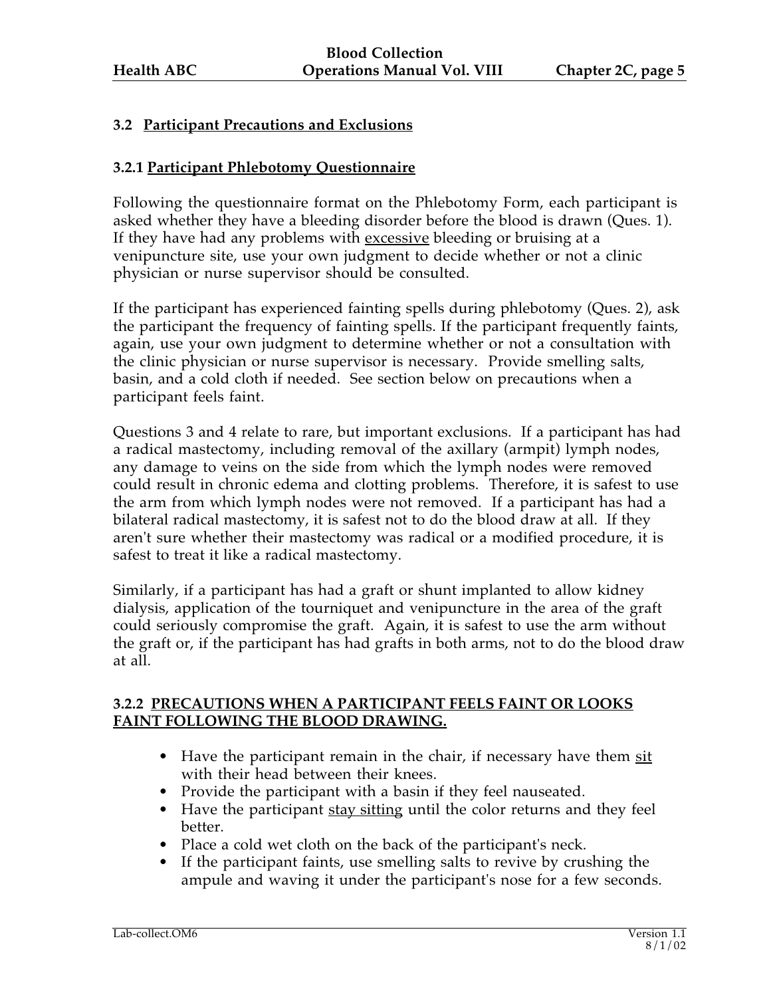## **3.2 Participant Precautions and Exclusions**

## **3.2.1 Participant Phlebotomy Questionnaire**

Following the questionnaire format on the Phlebotomy Form, each participant is asked whether they have a bleeding disorder before the blood is drawn (Ques. 1). If they have had any problems with excessive bleeding or bruising at a venipuncture site, use your own judgment to decide whether or not a clinic physician or nurse supervisor should be consulted.

If the participant has experienced fainting spells during phlebotomy (Ques. 2), ask the participant the frequency of fainting spells. If the participant frequently faints, again, use your own judgment to determine whether or not a consultation with the clinic physician or nurse supervisor is necessary. Provide smelling salts, basin, and a cold cloth if needed. See section below on precautions when a participant feels faint.

Questions 3 and 4 relate to rare, but important exclusions. If a participant has had a radical mastectomy, including removal of the axillary (armpit) lymph nodes, any damage to veins on the side from which the lymph nodes were removed could result in chronic edema and clotting problems. Therefore, it is safest to use the arm from which lymph nodes were not removed. If a participant has had a bilateral radical mastectomy, it is safest not to do the blood draw at all. If they aren't sure whether their mastectomy was radical or a modified procedure, it is safest to treat it like a radical mastectomy.

Similarly, if a participant has had a graft or shunt implanted to allow kidney dialysis, application of the tourniquet and venipuncture in the area of the graft could seriously compromise the graft. Again, it is safest to use the arm without the graft or, if the participant has had grafts in both arms, not to do the blood draw at all.

#### **3.2.2 PRECAUTIONS WHEN A PARTICIPANT FEELS FAINT OR LOOKS FAINT FOLLOWING THE BLOOD DRAWING.**

- Have the participant remain in the chair, if necessary have them sit with their head between their knees.
- Provide the participant with a basin if they feel nauseated.
- Have the participant stay sitting until the color returns and they feel better.
- Place a cold wet cloth on the back of the participant's neck.
- If the participant faints, use smelling salts to revive by crushing the ampule and waving it under the participant's nose for a few seconds.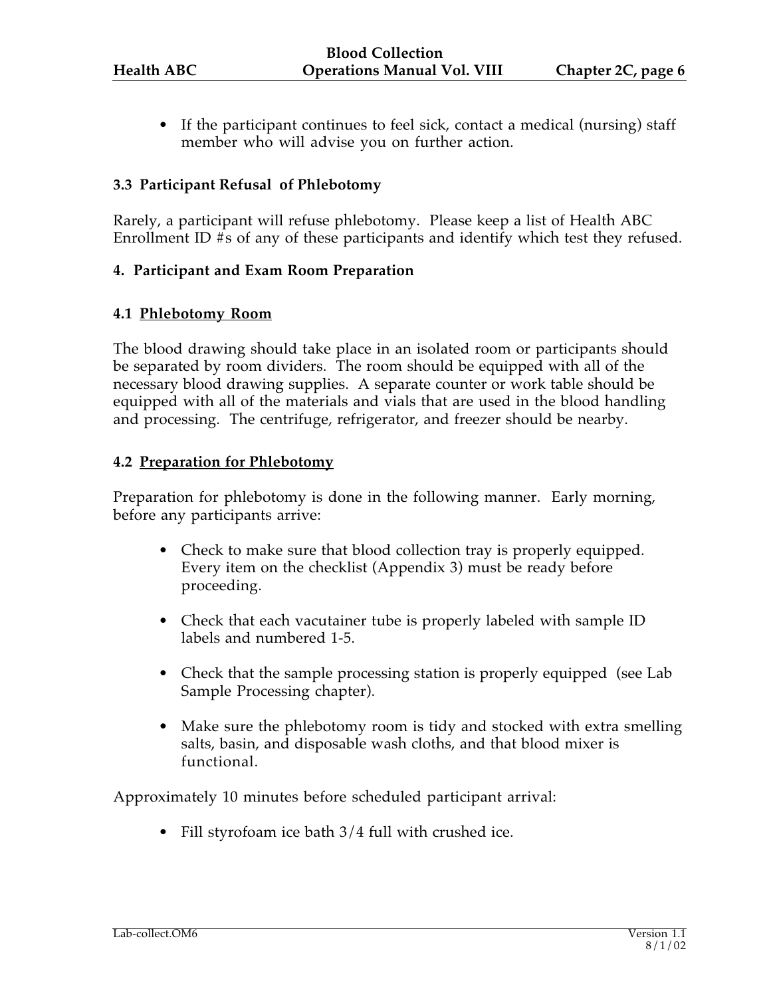• If the participant continues to feel sick, contact a medical (nursing) staff member who will advise you on further action.

#### **3.3 Participant Refusal of Phlebotomy**

Rarely, a participant will refuse phlebotomy. Please keep a list of Health ABC Enrollment ID #s of any of these participants and identify which test they refused.

#### **4. Participant and Exam Room Preparation**

#### **4.1 Phlebotomy Room**

The blood drawing should take place in an isolated room or participants should be separated by room dividers. The room should be equipped with all of the necessary blood drawing supplies. A separate counter or work table should be equipped with all of the materials and vials that are used in the blood handling and processing. The centrifuge, refrigerator, and freezer should be nearby.

#### **4.2 Preparation for Phlebotomy**

Preparation for phlebotomy is done in the following manner. Early morning, before any participants arrive:

- Check to make sure that blood collection tray is properly equipped. Every item on the checklist (Appendix 3) must be ready before proceeding.
- Check that each vacutainer tube is properly labeled with sample ID labels and numbered 1-5.
- Check that the sample processing station is properly equipped (see Lab Sample Processing chapter).
- Make sure the phlebotomy room is tidy and stocked with extra smelling salts, basin, and disposable wash cloths, and that blood mixer is functional.

Approximately 10 minutes before scheduled participant arrival:

• Fill styrofoam ice bath  $3/4$  full with crushed ice.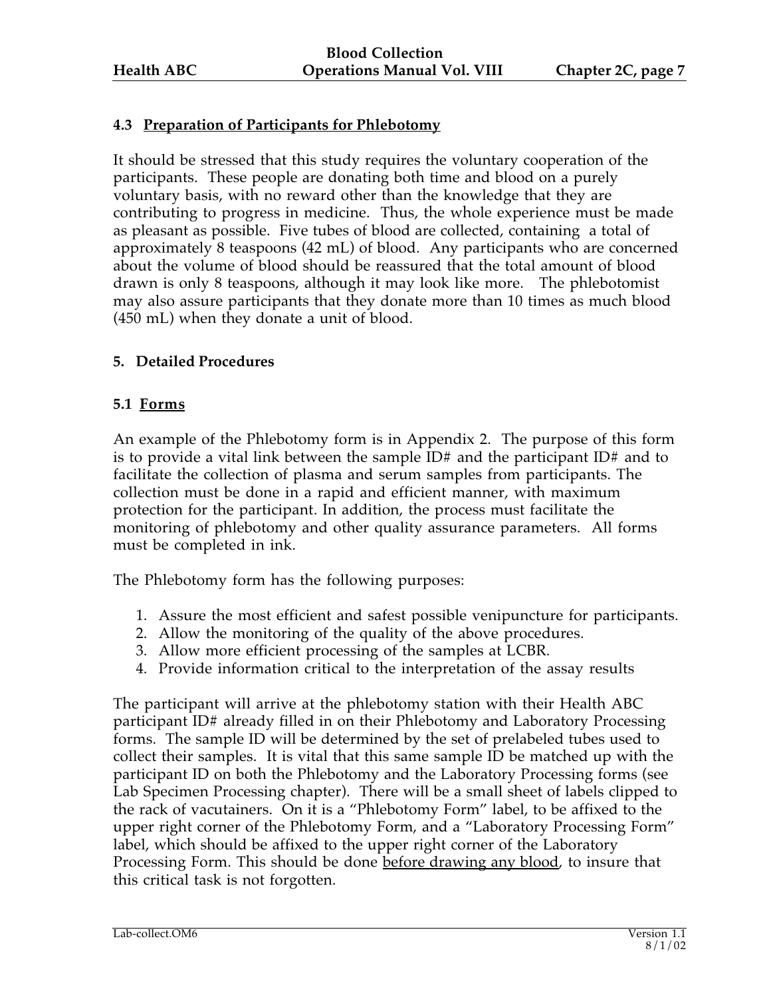## **4.3 Preparation of Participants for Phlebotomy**

It should be stressed that this study requires the voluntary cooperation of the participants. These people are donating both time and blood on a purely voluntary basis, with no reward other than the knowledge that they are contributing to progress in medicine. Thus, the whole experience must be made as pleasant as possible. Five tubes of blood are collected, containing a total of approximately 8 teaspoons (42 mL) of blood. Any participants who are concerned about the volume of blood should be reassured that the total amount of blood drawn is only 8 teaspoons, although it may look like more. The phlebotomist may also assure participants that they donate more than 10 times as much blood (450 mL) when they donate a unit of blood.

#### **5. Detailed Procedures**

#### **5.1 Forms**

An example of the Phlebotomy form is in Appendix 2. The purpose of this form is to provide a vital link between the sample  $ID#$  and the participant  $ID#$  and to facilitate the collection of plasma and serum samples from participants. The collection must be done in a rapid and efficient manner, with maximum protection for the participant. In addition, the process must facilitate the monitoring of phlebotomy and other quality assurance parameters. All forms must be completed in ink.

The Phlebotomy form has the following purposes:

- 1. Assure the most efficient and safest possible venipuncture for participants.
- 2. Allow the monitoring of the quality of the above procedures.
- 3. Allow more efficient processing of the samples at LCBR.
- 4. Provide information critical to the interpretation of the assay results

The participant will arrive at the phlebotomy station with their Health ABC participant ID# already filled in on their Phlebotomy and Laboratory Processing forms. The sample ID will be determined by the set of prelabeled tubes used to collect their samples. It is vital that this same sample ID be matched up with the participant ID on both the Phlebotomy and the Laboratory Processing forms (see Lab Specimen Processing chapter). There will be a small sheet of labels clipped to the rack of vacutainers. On it is a "Phlebotomy Form" label, to be affixed to the upper right corner of the Phlebotomy Form, and a "Laboratory Processing Form" label, which should be affixed to the upper right corner of the Laboratory Processing Form. This should be done before drawing any blood, to insure that this critical task is not forgotten.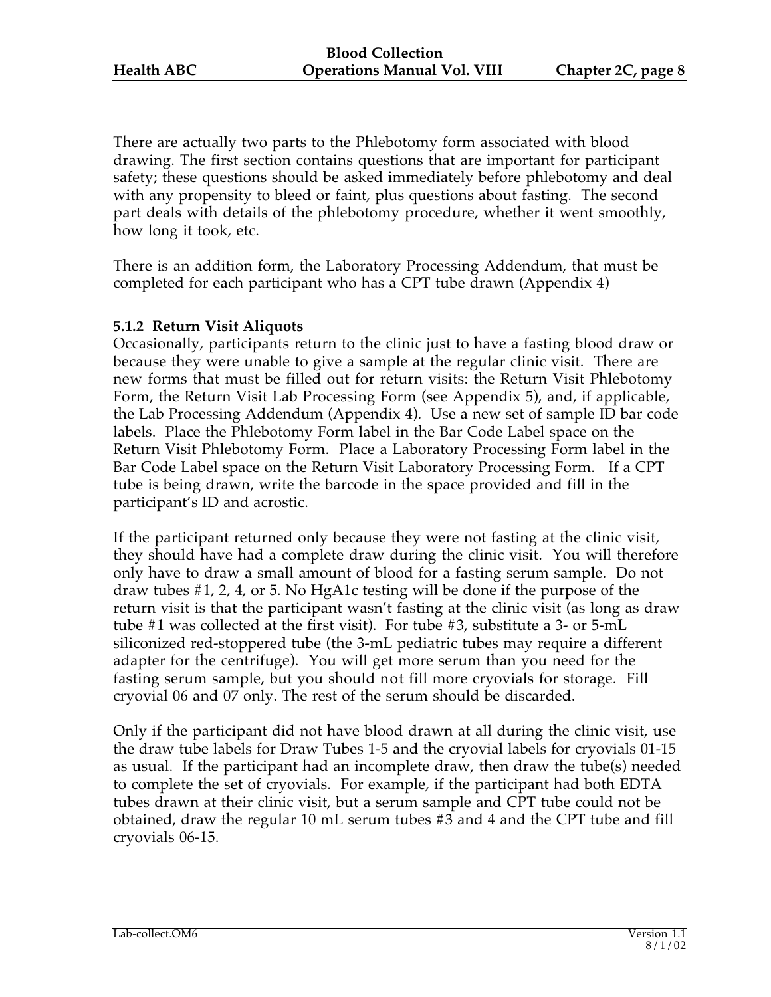There are actually two parts to the Phlebotomy form associated with blood drawing. The first section contains questions that are important for participant safety; these questions should be asked immediately before phlebotomy and deal with any propensity to bleed or faint, plus questions about fasting. The second part deals with details of the phlebotomy procedure, whether it went smoothly, how long it took, etc.

There is an addition form, the Laboratory Processing Addendum, that must be completed for each participant who has a CPT tube drawn (Appendix 4)

#### **5.1.2 Return Visit Aliquots**

Occasionally, participants return to the clinic just to have a fasting blood draw or because they were unable to give a sample at the regular clinic visit. There are new forms that must be filled out for return visits: the Return Visit Phlebotomy Form, the Return Visit Lab Processing Form (see Appendix 5), and, if applicable, the Lab Processing Addendum (Appendix 4). Use a new set of sample ID bar code labels. Place the Phlebotomy Form label in the Bar Code Label space on the Return Visit Phlebotomy Form. Place a Laboratory Processing Form label in the Bar Code Label space on the Return Visit Laboratory Processing Form. If a CPT tube is being drawn, write the barcode in the space provided and fill in the participant's ID and acrostic.

If the participant returned only because they were not fasting at the clinic visit, they should have had a complete draw during the clinic visit. You will therefore only have to draw a small amount of blood for a fasting serum sample. Do not draw tubes #1, 2, 4, or 5. No HgA1c testing will be done if the purpose of the return visit is that the participant wasn't fasting at the clinic visit (as long as draw tube #1 was collected at the first visit). For tube #3, substitute a 3- or 5-mL siliconized red-stoppered tube (the 3-mL pediatric tubes may require a different adapter for the centrifuge). You will get more serum than you need for the fasting serum sample, but you should not fill more cryovials for storage. Fill cryovial 06 and 07 only. The rest of the serum should be discarded.

Only if the participant did not have blood drawn at all during the clinic visit, use the draw tube labels for Draw Tubes 1-5 and the cryovial labels for cryovials 01-15 as usual. If the participant had an incomplete draw, then draw the tube(s) needed to complete the set of cryovials. For example, if the participant had both EDTA tubes drawn at their clinic visit, but a serum sample and CPT tube could not be obtained, draw the regular 10 mL serum tubes #3 and 4 and the CPT tube and fill cryovials 06-15.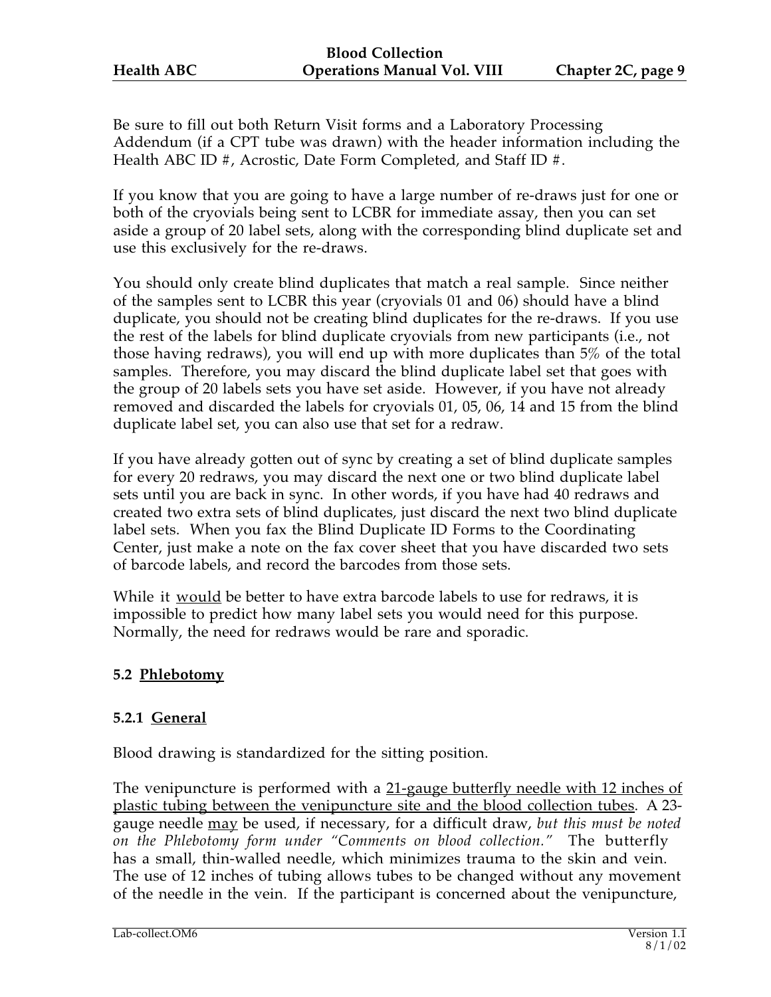Be sure to fill out both Return Visit forms and a Laboratory Processing Addendum (if a CPT tube was drawn) with the header information including the Health ABC ID #, Acrostic, Date Form Completed, and Staff ID #.

If you know that you are going to have a large number of re-draws just for one or both of the cryovials being sent to LCBR for immediate assay, then you can set aside a group of 20 label sets, along with the corresponding blind duplicate set and use this exclusively for the re-draws.

You should only create blind duplicates that match a real sample. Since neither of the samples sent to LCBR this year (cryovials 01 and 06) should have a blind duplicate, you should not be creating blind duplicates for the re-draws. If you use the rest of the labels for blind duplicate cryovials from new participants (i.e., not those having redraws), you will end up with more duplicates than 5% of the total samples. Therefore, you may discard the blind duplicate label set that goes with the group of 20 labels sets you have set aside. However, if you have not already removed and discarded the labels for cryovials 01, 05, 06, 14 and 15 from the blind duplicate label set, you can also use that set for a redraw.

If you have already gotten out of sync by creating a set of blind duplicate samples for every 20 redraws, you may discard the next one or two blind duplicate label sets until you are back in sync. In other words, if you have had 40 redraws and created two extra sets of blind duplicates, just discard the next two blind duplicate label sets. When you fax the Blind Duplicate ID Forms to the Coordinating Center, just make a note on the fax cover sheet that you have discarded two sets of barcode labels, and record the barcodes from those sets.

While it would be better to have extra barcode labels to use for redraws, it is impossible to predict how many label sets you would need for this purpose. Normally, the need for redraws would be rare and sporadic.

## **5.2 Phlebotomy**

## **5.2.1 General**

Blood drawing is standardized for the sitting position.

The venipuncture is performed with a 21-gauge butterfly needle with 12 inches of plastic tubing between the venipuncture site and the blood collection tubes . A 23 gauge needle may be used, if necessary, for a difficult draw, *but this must be noted on the Phlebotomy form under "Comments on blood collection."* The butterfly has a small, thin-walled needle, which minimizes trauma to the skin and vein. The use of 12 inches of tubing allows tubes to be changed without any movement of the needle in the vein. If the participant is concerned about the venipuncture,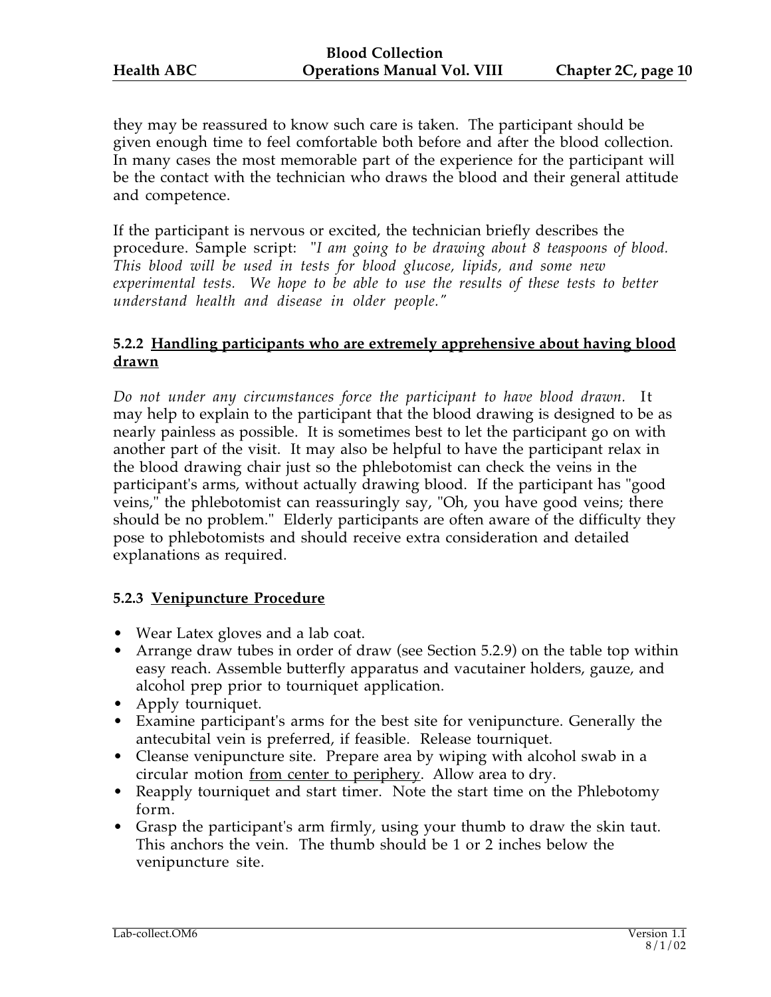they may be reassured to know such care is taken. The participant should be given enough time to feel comfortable both before and after the blood collection. In many cases the most memorable part of the experience for the participant will be the contact with the technician who draws the blood and their general attitude and competence.

If the participant is nervous or excited, the technician briefly describes the procedure. Sample script: "*I am going to be drawing about 8 teaspoons of blood. This blood will be used in tests for blood glucose, lipids, and some new experimental tests. We hope to be able to use the results of these tests to better understand health and disease in older people."*

#### **5.2.2 Handling participants who are extremely apprehensive about having blood drawn**

*Do not under any circumstances force the participant to have blood drawn.* It may help to explain to the participant that the blood drawing is designed to be as nearly painless as possible. It is sometimes best to let the participant go on with another part of the visit. It may also be helpful to have the participant relax in the blood drawing chair just so the phlebotomist can check the veins in the participant's arms, without actually drawing blood. If the participant has "good veins," the phlebotomist can reassuringly say, "Oh, you have good veins; there should be no problem." Elderly participants are often aware of the difficulty they pose to phlebotomists and should receive extra consideration and detailed explanations as required.

## **5.2.3 Venipuncture Procedure**

- Wear Latex gloves and a lab coat.
- Arrange draw tubes in order of draw (see Section 5.2.9) on the table top within easy reach. Assemble butterfly apparatus and vacutainer holders, gauze, and alcohol prep prior to tourniquet application.
- Apply tourniquet.
- Examine participant's arms for the best site for venipuncture. Generally the antecubital vein is preferred, if feasible. Release tourniquet.
- Cleanse venipuncture site. Prepare area by wiping with alcohol swab in a circular motion <u>from center to periphery</u>. Allow area to dry.
- Reapply tourniquet and start timer. Note the start time on the Phlebotomy form.
- Grasp the participant's arm firmly, using your thumb to draw the skin taut. This anchors the vein. The thumb should be 1 or 2 inches below the venipuncture site.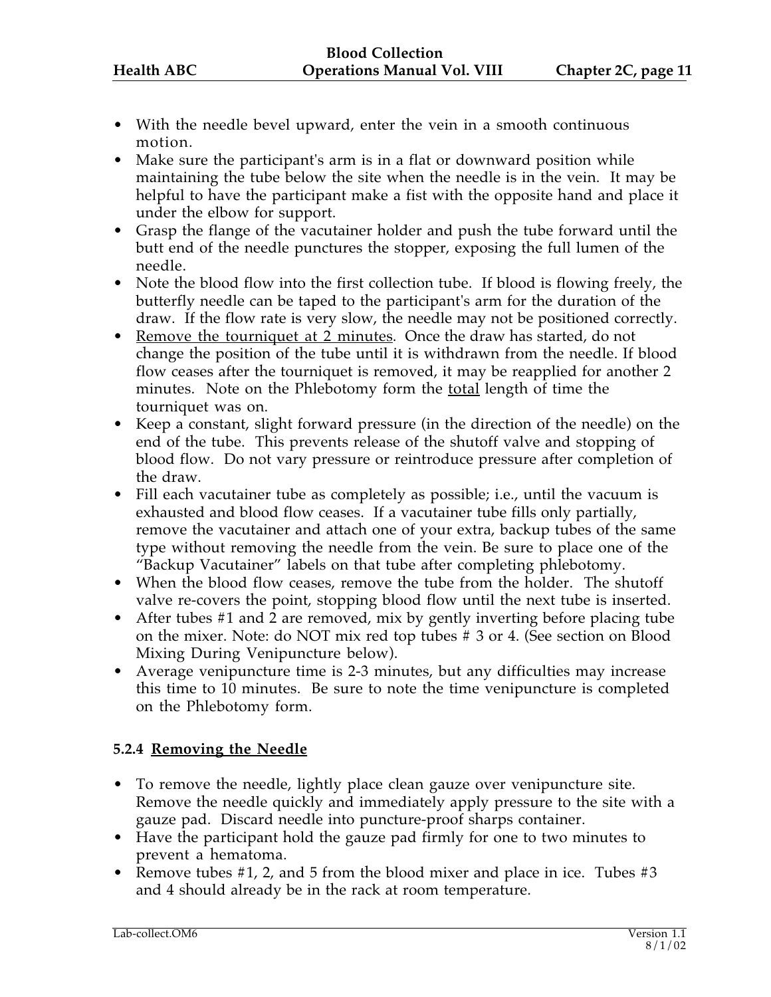- With the needle bevel upward, enter the vein in a smooth continuous motion.
- Make sure the participant's arm is in a flat or downward position while maintaining the tube below the site when the needle is in the vein. It may be helpful to have the participant make a fist with the opposite hand and place it under the elbow for support.
- Grasp the flange of the vacutainer holder and push the tube forward until the butt end of the needle punctures the stopper, exposing the full lumen of the needle.
- Note the blood flow into the first collection tube. If blood is flowing freely, the butterfly needle can be taped to the participant's arm for the duration of the draw. If the flow rate is very slow, the needle may not be positioned correctly.
- Remove the tourniquet at 2 minutes. Once the draw has started, do not change the position of the tube until it is withdrawn from the needle. If blood flow ceases after the tourniquet is removed, it may be reapplied for another 2 minutes. Note on the Phlebotomy form the total length of time the tourniquet was on.
- Keep a constant, slight forward pressure (in the direction of the needle) on the end of the tube. This prevents release of the shutoff valve and stopping of blood flow. Do not vary pressure or reintroduce pressure after completion of the draw.
- Fill each vacutainer tube as completely as possible; i.e., until the vacuum is exhausted and blood flow ceases. If a vacutainer tube fills only partially, remove the vacutainer and attach one of your extra, backup tubes of the same type without removing the needle from the vein. Be sure to place one of the "Backup Vacutainer" labels on that tube after completing phlebotomy.
- When the blood flow ceases, remove the tube from the holder. The shutoff valve re-covers the point, stopping blood flow until the next tube is inserted.
- After tubes #1 and 2 are removed, mix by gently inverting before placing tube on the mixer. Note: do NOT mix red top tubes # 3 or 4. (See section on Blood Mixing During Venipuncture below).
- Average venipuncture time is 2-3 minutes, but any difficulties may increase this time to 10 minutes. Be sure to note the time venipuncture is completed on the Phlebotomy form.

## **5.2.4 Removing the Needle**

- To remove the needle, lightly place clean gauze over venipuncture site. Remove the needle quickly and immediately apply pressure to the site with a gauze pad. Discard needle into puncture-proof sharps container.
- Have the participant hold the gauze pad firmly for one to two minutes to prevent a hematoma.
- Remove tubes #1, 2, and 5 from the blood mixer and place in ice. Tubes #3 and 4 should already be in the rack at room temperature.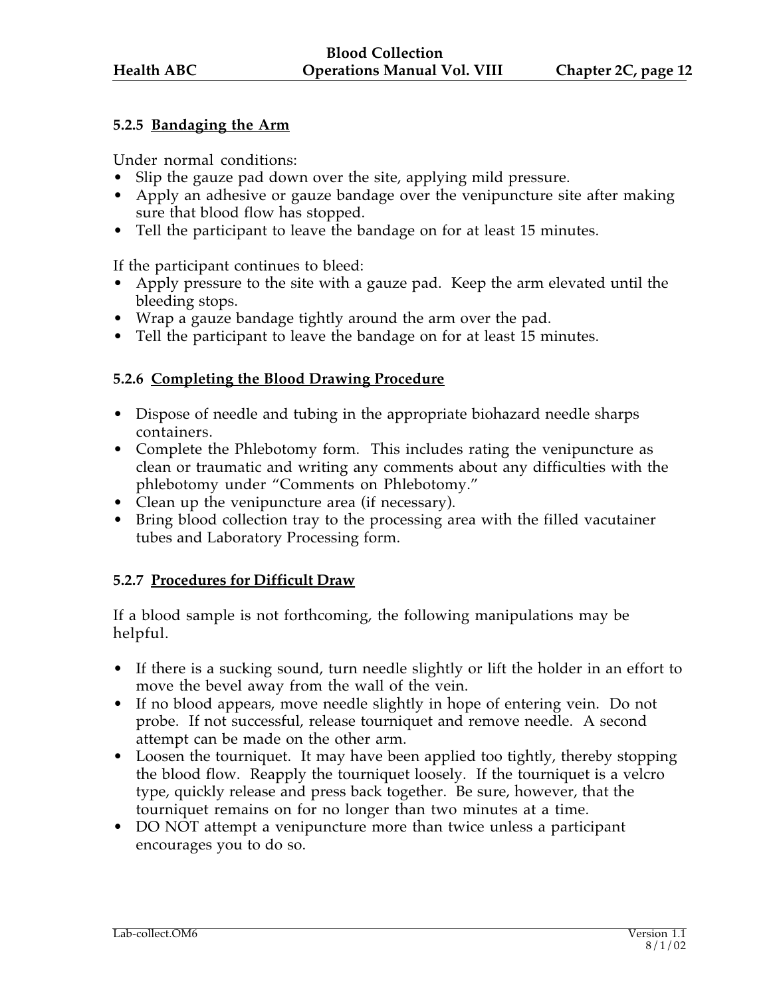## **5.2.5 Bandaging the Arm**

Under normal conditions:

- Slip the gauze pad down over the site, applying mild pressure.
- Apply an adhesive or gauze bandage over the venipuncture site after making sure that blood flow has stopped.
- Tell the participant to leave the bandage on for at least 15 minutes.

If the participant continues to bleed:

- Apply pressure to the site with a gauze pad. Keep the arm elevated until the bleeding stops.
- Wrap a gauze bandage tightly around the arm over the pad.
- Tell the participant to leave the bandage on for at least 15 minutes.

## **5.2.6 Completing the Blood Drawing Procedure**

- Dispose of needle and tubing in the appropriate biohazard needle sharps containers.
- Complete the Phlebotomy form. This includes rating the venipuncture as clean or traumatic and writing any comments about any difficulties with the phlebotomy under "Comments on Phlebotomy."
- Clean up the venipuncture area (if necessary).
- Bring blood collection tray to the processing area with the filled vacutainer tubes and Laboratory Processing form.

## **5.2.7 Procedures for Difficult Draw**

If a blood sample is not forthcoming, the following manipulations may be helpful.

- If there is a sucking sound, turn needle slightly or lift the holder in an effort to move the bevel away from the wall of the vein.
- If no blood appears, move needle slightly in hope of entering vein. Do not probe. If not successful, release tourniquet and remove needle. A second attempt can be made on the other arm.
- Loosen the tourniquet. It may have been applied too tightly, thereby stopping the blood flow. Reapply the tourniquet loosely. If the tourniquet is a velcro type, quickly release and press back together. Be sure, however, that the tourniquet remains on for no longer than two minutes at a time.
- DO NOT attempt a venipuncture more than twice unless a participant encourages you to do so.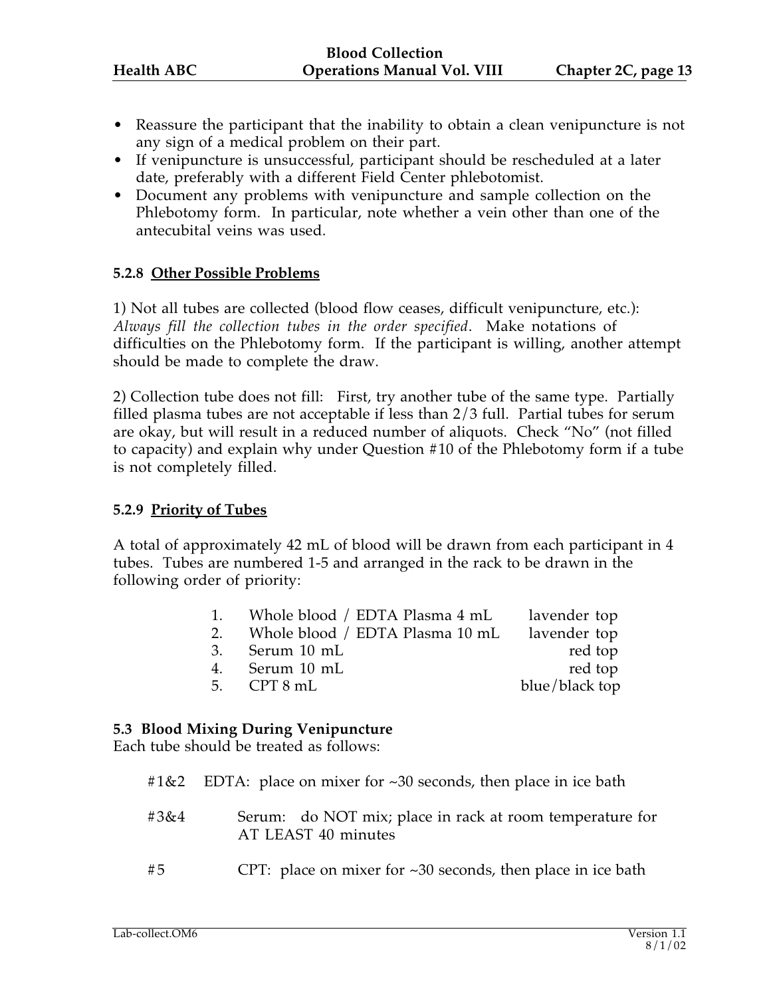- Reassure the participant that the inability to obtain a clean venipuncture is not any sign of a medical problem on their part.
- If venipuncture is unsuccessful, participant should be rescheduled at a later date, preferably with a different Field Center phlebotomist.
- Document any problems with venipuncture and sample collection on the Phlebotomy form. In particular, note whether a vein other than one of the antecubital veins was used.

## **5.2.8 Other Possible Problems**

1) Not all tubes are collected (blood flow ceases, difficult venipuncture, etc.): *Always fill the collection tubes in the order specified*. Make notations of difficulties on the Phlebotomy form. If the participant is willing, another attempt should be made to complete the draw.

2) Collection tube does not fill: First, try another tube of the same type. Partially filled plasma tubes are not acceptable if less than 2/3 full. Partial tubes for serum are okay, but will result in a reduced number of aliquots. Check "No" (not filled to capacity) and explain why under Question #10 of the Phlebotomy form if a tube is not completely filled.

#### **5.2.9 Priority of Tubes**

A total of approximately 42 mL of blood will be drawn from each participant in 4 tubes. Tubes are numbered 1-5 and arranged in the rack to be drawn in the following order of priority:

| 1. Whole blood / EDTA Plasma 4 mL               | lavender top   |
|-------------------------------------------------|----------------|
| 2. Whole blood / EDTA Plasma 10 mL lavender top |                |
| 3. Serum 10 mL                                  | red top        |
| 4. Serum 10 mL                                  | red top        |
| 5. $CPT 8 mL$                                   | blue/black top |
|                                                 |                |

#### **5.3 Blood Mixing During Venipuncture**

Each tube should be treated as follows:

|  |  |  |  | #1&2 EDTA: place on mixer for ~30 seconds, then place in ice bath |  |  |  |
|--|--|--|--|-------------------------------------------------------------------|--|--|--|
|--|--|--|--|-------------------------------------------------------------------|--|--|--|

- #3&4 Serum: do NOT mix; place in rack at room temperature for AT LEAST 40 minutes
- #5 CPT: place on mixer for ~30 seconds, then place in ice bath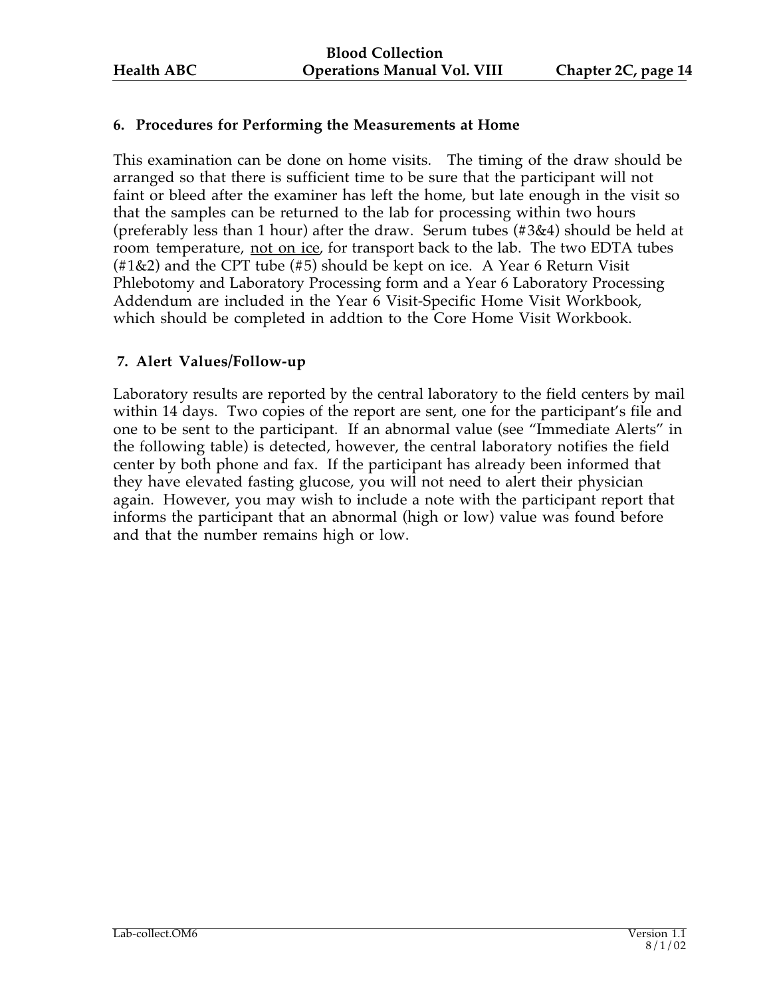## **6. Procedures for Performing the Measurements at Home**

This examination can be done on home visits. The timing of the draw should be arranged so that there is sufficient time to be sure that the participant will not faint or bleed after the examiner has left the home, but late enough in the visit so that the samples can be returned to the lab for processing within two hours (preferably less than 1 hour) after the draw. Serum tubes (#3&4) should be held at room temperature, not on ice, for transport back to the lab. The two EDTA tubes (#1&2) and the CPT tube (#5) should be kept on ice. A Year 6 Return Visit Phlebotomy and Laboratory Processing form and a Year 6 Laboratory Processing Addendum are included in the Year 6 Visit-Specific Home Visit Workbook, which should be completed in addtion to the Core Home Visit Workbook.

## **7. Alert Values/Follow-up**

Laboratory results are reported by the central laboratory to the field centers by mail within 14 days. Two copies of the report are sent, one for the participant's file and one to be sent to the participant. If an abnormal value (see "Immediate Alerts" in the following table) is detected, however, the central laboratory notifies the field center by both phone and fax. If the participant has already been informed that they have elevated fasting glucose, you will not need to alert their physician again. However, you may wish to include a note with the participant report that informs the participant that an abnormal (high or low) value was found before and that the number remains high or low.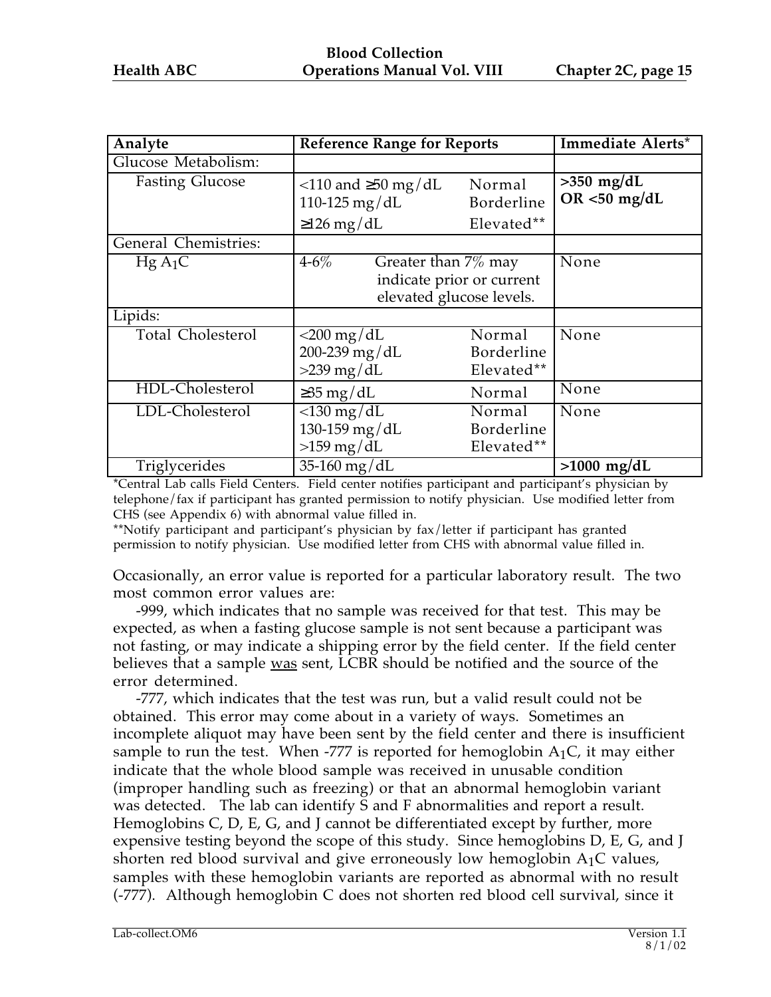| Analyte                  | <b>Reference Range for Reports</b>                                                        |                                    | Immediate Alerts*               |
|--------------------------|-------------------------------------------------------------------------------------------|------------------------------------|---------------------------------|
| Glucose Metabolism:      |                                                                                           |                                    |                                 |
| <b>Fasting Glucose</b>   | $\langle$ 110 and $\geq$ 50 mg/dL<br>110-125 mg/dL                                        | Normal<br>Borderline               | $>350$ mg/dL<br>OR $<$ 50 mg/dL |
|                          | $\geq$ 126 mg/dL                                                                          | Elevated**                         |                                 |
| General Chemistries:     |                                                                                           |                                    |                                 |
| $HgA_1C$                 | $4 - 6\%$<br>Greater than 7% may<br>indicate prior or current<br>elevated glucose levels. |                                    | None                            |
| Lipids:                  |                                                                                           |                                    |                                 |
| <b>Total Cholesterol</b> | $<$ 200 mg/dL<br>200-239 mg/dL<br>$>239$ mg/dL                                            | Normal<br>Borderline<br>Elevated** | None                            |
| HDL-Cholesterol          | $\geq$ 35 mg/dL                                                                           | Normal                             | None                            |
| LDL-Cholesterol          | $<$ 130 mg/dL<br>130-159 mg/dL<br>$>159$ mg/dL                                            | Normal<br>Borderline<br>Elevated** | None                            |
| Triglycerides            | $\overline{35}$ -160 mg/dL                                                                |                                    | $>1000$ mg/dL                   |

\*Central Lab calls Field Centers. Field center notifies participant and participant's physician by telephone/fax if participant has granted permission to notify physician. Use modified letter from CHS (see Appendix 6) with abnormal value filled in.

\*\*Notify participant and participant's physician by fax/letter if participant has granted permission to notify physician. Use modified letter from CHS with abnormal value filled in.

Occasionally, an error value is reported for a particular laboratory result. The two most common error values are:

-999, which indicates that no sample was received for that test. This may be expected, as when a fasting glucose sample is not sent because a participant was not fasting, or may indicate a shipping error by the field center. If the field center believes that a sample was sent, LCBR should be notified and the source of the error determined.

-777, which indicates that the test was run, but a valid result could not be obtained. This error may come about in a variety of ways. Sometimes an incomplete aliquot may have been sent by the field center and there is insufficient sample to run the test. When -777 is reported for hemoglobin  $A_1C$ , it may either indicate that the whole blood sample was received in unusable condition (improper handling such as freezing) or that an abnormal hemoglobin variant was detected. The lab can identify S and F abnormalities and report a result. Hemoglobins C, D, E, G, and J cannot be differentiated except by further, more expensive testing beyond the scope of this study. Since hemoglobins D, E, G, and J shorten red blood survival and give erroneously low hemoglobin  $A_1C$  values, samples with these hemoglobin variants are reported as abnormal with no result (-777). Although hemoglobin C does not shorten red blood cell survival, since it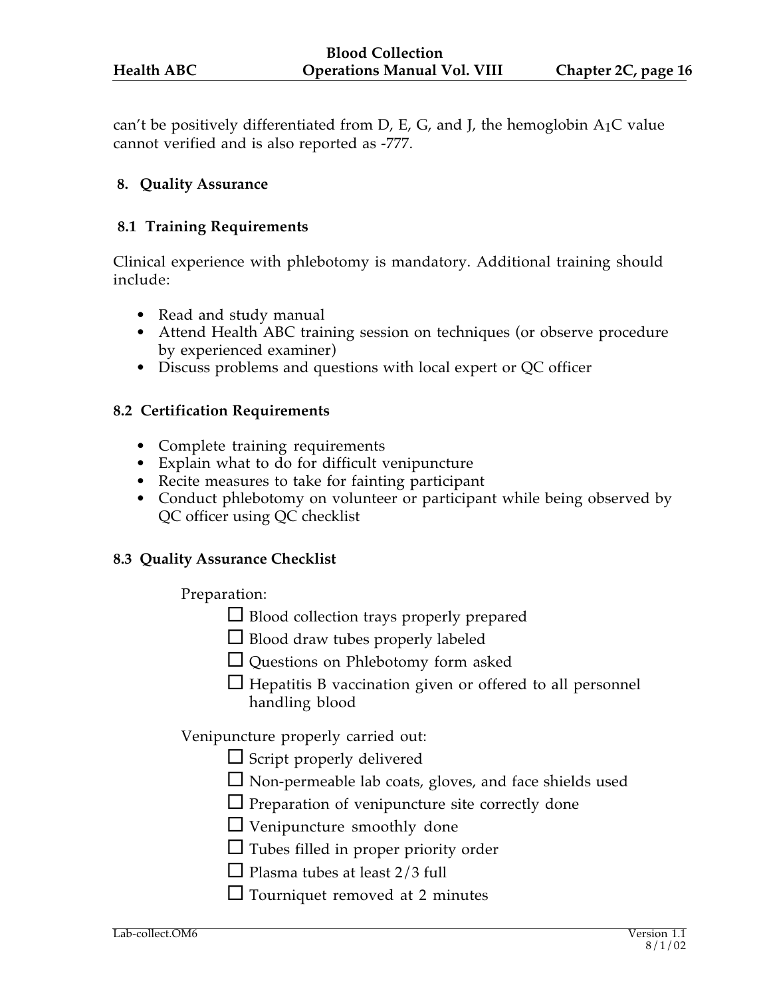can't be positively differentiated from D, E, G, and J, the hemoglobin  $A_1C$  value cannot verified and is also reported as -777.

#### **8. Quality Assurance**

#### **8.1 Training Requirements**

Clinical experience with phlebotomy is mandatory. Additional training should include:

- Read and study manual
- Attend Health ABC training session on techniques (or observe procedure by experienced examiner)
- Discuss problems and questions with local expert or QC officer

#### **8.2 Certification Requirements**

- Complete training requirements
- Explain what to do for difficult venipuncture
- Recite measures to take for fainting participant
- Conduct phlebotomy on volunteer or participant while being observed by QC officer using QC checklist

#### **8.3 Quality Assurance Checklist**

Preparation:

- $\Box$  Blood collection trays properly prepared
- $\Box$  Blood draw tubes properly labeled
- Questions on Phlebotomy form asked
- $\Box$  Hepatitis B vaccination given or offered to all personnel handling blood

Venipuncture properly carried out:

- $\Box$  Script properly delivered
- $\Box$  Non-permeable lab coats, gloves, and face shields used
- $\Box$  Preparation of venipuncture site correctly done
- Venipuncture smoothly done
- $\Box$  Tubes filled in proper priority order
- $\Box$  Plasma tubes at least 2/3 full
- $\Box$  Tourniquet removed at 2 minutes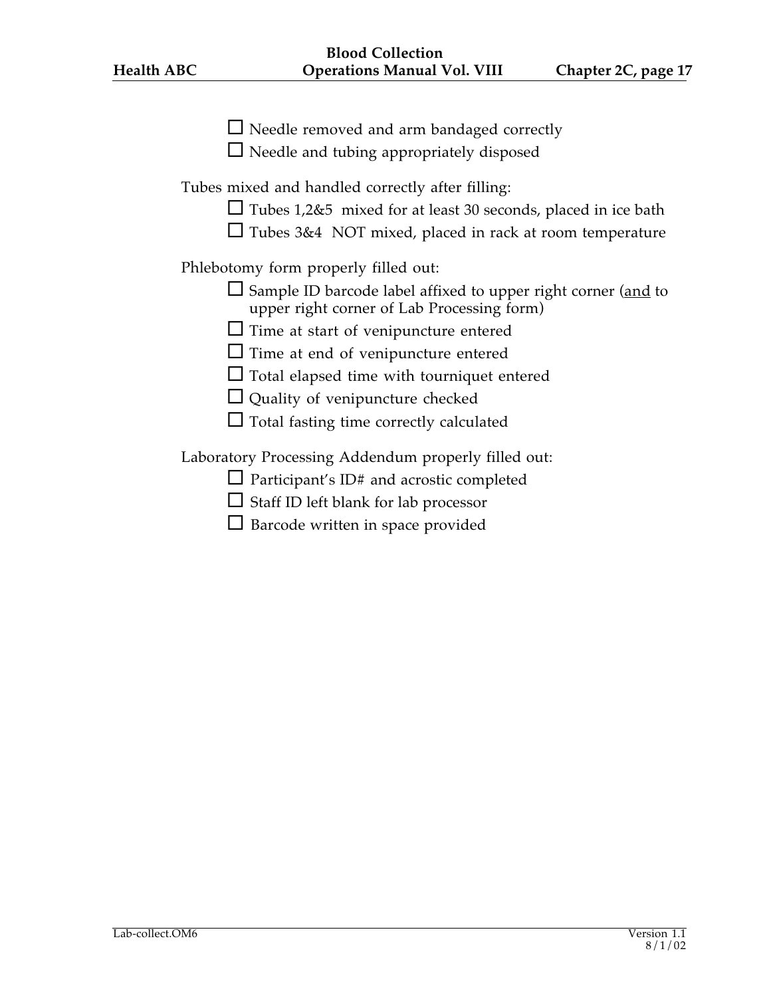| $\Box$ Needle removed and arm bandaged correctly<br>$\Box$ Needle and tubing appropriately disposed                                                                                        |
|--------------------------------------------------------------------------------------------------------------------------------------------------------------------------------------------|
| Tubes mixed and handled correctly after filling:<br>$\Box$ Tubes 1,2&5 mixed for at least 30 seconds, placed in ice bath<br>$\Box$ Tubes 3&4 NOT mixed, placed in rack at room temperature |
| Phlebotomy form properly filled out:                                                                                                                                                       |
| $\Box$ Sample ID barcode label affixed to upper right corner (and to<br>upper right corner of Lab Processing form)                                                                         |
| $\Box$ Time at start of venipuncture entered                                                                                                                                               |
| $\Box$ Time at end of venipuncture entered                                                                                                                                                 |
| $\Box$ Total elapsed time with tourniquet entered                                                                                                                                          |
| $\Box$ Quality of venipuncture checked                                                                                                                                                     |
| $\Box$ Total fasting time correctly calculated                                                                                                                                             |
| Laboratory Processing Addendum properly filled out:                                                                                                                                        |
| $\Box$ Participant's ID# and acrostic completed                                                                                                                                            |
| $\Box$ Staff ID left blank for lab processor                                                                                                                                               |
| $\Box$ Barcode written in space provided                                                                                                                                                   |
|                                                                                                                                                                                            |
|                                                                                                                                                                                            |
|                                                                                                                                                                                            |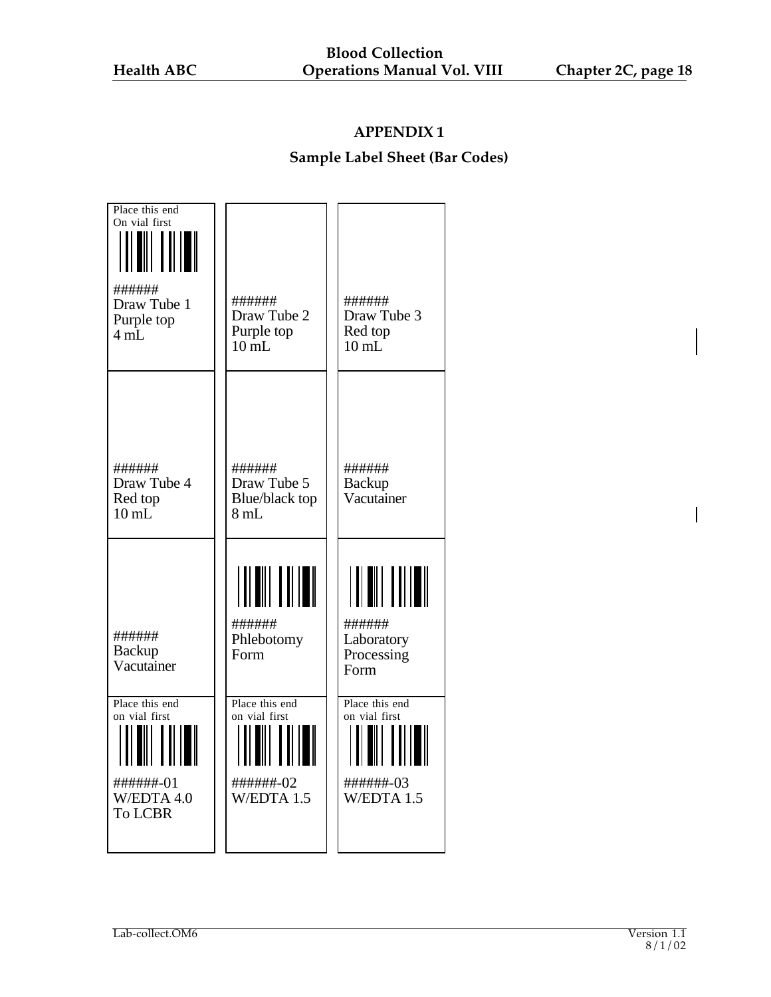## **Sample Label Sheet (Bar Codes)**

| Place this end<br>On vial first<br>######<br>Draw Tube 1<br>Purple top<br>4 mL                                 | ######<br>Draw Tube 2<br>Purple top<br>$10 \text{ mL}$      | ######<br>Draw Tube 3<br>Red top<br>$10 \text{ mL}$        |
|----------------------------------------------------------------------------------------------------------------|-------------------------------------------------------------|------------------------------------------------------------|
| ######<br>Draw Tube 4<br>Red top<br>$10 \text{ mL}$                                                            | ######<br>Draw Tube 5<br>Blue/black top<br>8mL              | ######<br><b>Backup</b><br>Vacutainer                      |
| ######<br>Backup<br>Vacutainer                                                                                 | ######<br>Phlebotomy<br>Form                                | ######<br>Laboratory<br>Processing<br>Form                 |
| Place this end<br>on vial first<br><u>                      </u><br>######+-01<br>W/EDTA 4.0<br><b>To LCBR</b> | Place this end<br>on vial first<br>######+-02<br>W/EDTA 1.5 | Place this end<br>on vial first<br>######-03<br>W/EDTA 1.5 |

 $\overline{\mathbf{I}}$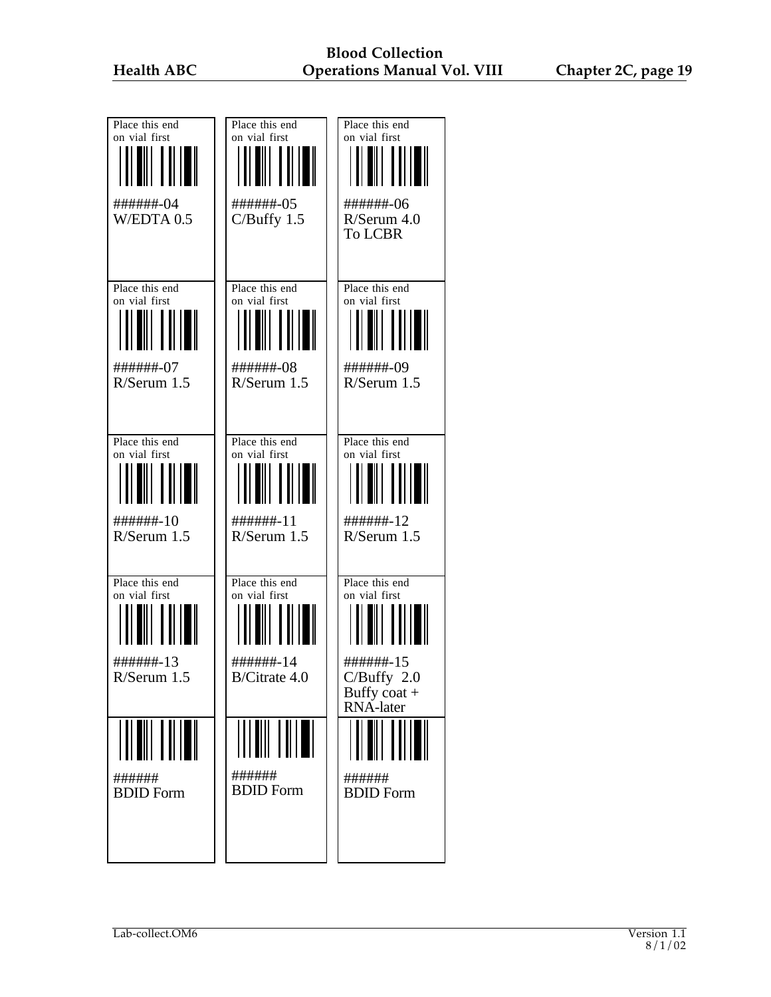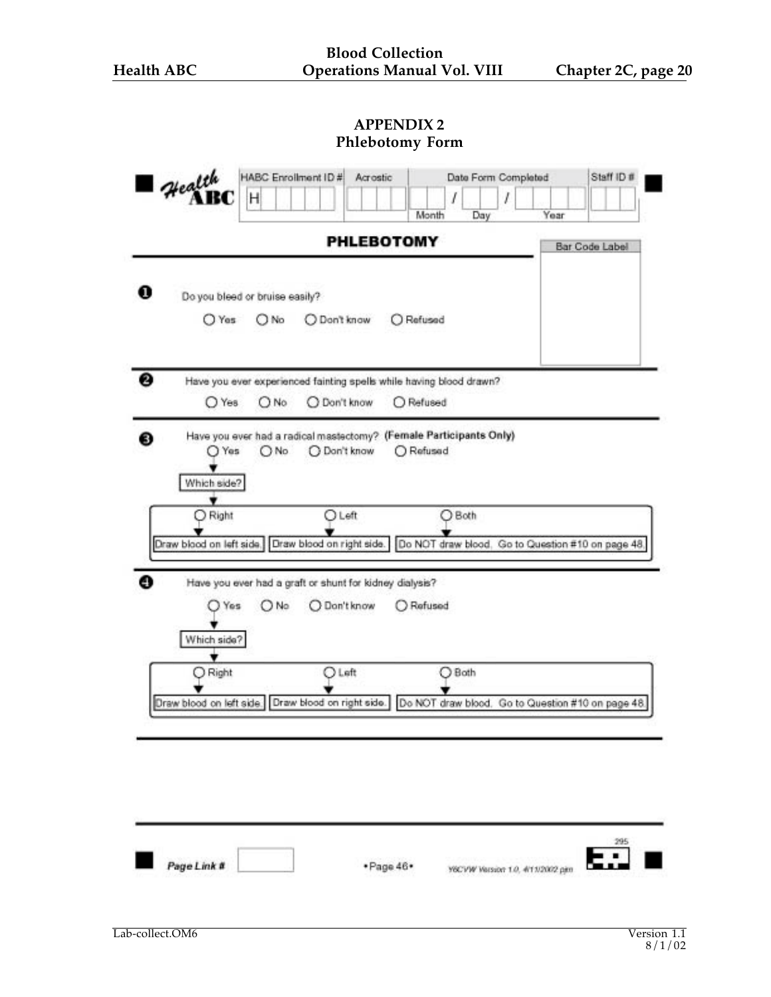| Health      | Н                              |                                                         | I<br>Month                                                                                               | I<br>Day | Year |                |
|-------------|--------------------------------|---------------------------------------------------------|----------------------------------------------------------------------------------------------------------|----------|------|----------------|
|             |                                |                                                         | <b>PHLEBOTOMY</b>                                                                                        |          |      | Bar Code Label |
|             |                                |                                                         |                                                                                                          |          |      |                |
|             | Do you bleed or bruise easily? |                                                         |                                                                                                          |          |      |                |
| O Yes       | ( ) No                         | O Don't know                                            | O Refused                                                                                                |          |      |                |
|             |                                |                                                         |                                                                                                          |          |      |                |
|             |                                |                                                         | Have you ever experienced fainting spells while having blood drawn?                                      |          |      |                |
| O Yes       | O No                           | O Don't know                                            | O Refused                                                                                                |          |      |                |
|             |                                |                                                         | Have you ever had a radical mastectomy? (Female Participants Only)                                       |          |      |                |
| Yes         | O No                           | O Don't know                                            | O Refused                                                                                                |          |      |                |
| Which side? |                                |                                                         |                                                                                                          |          |      |                |
| O Right     |                                | <b>O</b> Left                                           | $O$ Both                                                                                                 |          |      |                |
|             |                                |                                                         | Draw blood on left side.   Draw blood on right side.   Do NOT draw blood. Go to Question #10 on page 48. |          |      |                |
|             |                                |                                                         |                                                                                                          |          |      |                |
|             |                                | Have you ever had a graft or shunt for kidney dialysis? |                                                                                                          |          |      |                |
| Yes         | O No                           | O Don't know                                            | Refused                                                                                                  |          |      |                |
| Which side? |                                |                                                         |                                                                                                          |          |      |                |
| Right       |                                | <b>DLeft</b>                                            | O Both                                                                                                   |          |      |                |
|             |                                |                                                         |                                                                                                          |          |      |                |
|             |                                |                                                         | Draw blood on left side. Draw blood on right side. Do NOT draw blood. Go to Question #10 on page 48.     |          |      |                |
|             |                                |                                                         |                                                                                                          |          |      |                |
|             |                                |                                                         |                                                                                                          |          |      |                |
|             |                                |                                                         |                                                                                                          |          |      |                |
|             |                                |                                                         |                                                                                                          |          |      |                |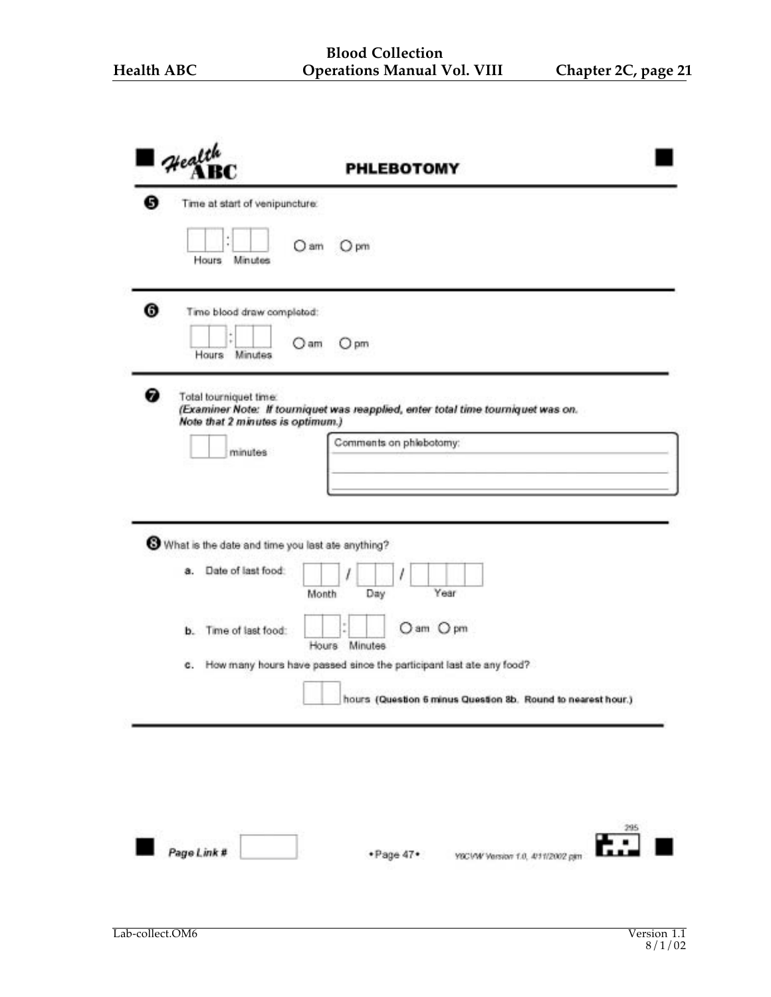| $\blacksquare$ Health               | <b>PHLEBOTOMY</b>                                                                       |
|-------------------------------------|-----------------------------------------------------------------------------------------|
| Ø<br>Time at start of venipuncture: |                                                                                         |
| ٠<br>٠<br>Hours Minutes             | O am<br>$O$ pm                                                                          |
| 0                                   | Time blood draw completed:                                                              |
| Hours                               | O am<br>○ pm<br>Minutes                                                                 |
| ❼<br>Total tourniquet time:         | (Examiner Note: If tourniquet was reapplied, enter total time tourniquet was on.        |
|                                     | Note that 2 minutes is optimum.)                                                        |
| minutes                             | Comments on phiebotomy:                                                                 |
|                                     |                                                                                         |
|                                     |                                                                                         |
|                                     |                                                                                         |
|                                     | What is the date and time you last ate anything?                                        |
| Date of last food:<br>â.            | Year                                                                                    |
|                                     | Day<br>Month                                                                            |
| Time of last food:<br>b.            | O am O pm                                                                               |
| с.                                  | Hours<br>Minutes<br>How many hours have passed since the participant last ate any food? |
|                                     |                                                                                         |
|                                     | hours (Question 6 minus Question 8b. Round to nearest hour.)                            |
|                                     |                                                                                         |
|                                     |                                                                                         |
|                                     |                                                                                         |
|                                     |                                                                                         |
|                                     |                                                                                         |
| Page Link #                         | $\begin{array}{c}\n 295 \\ \hline\n \end{array}$                                        |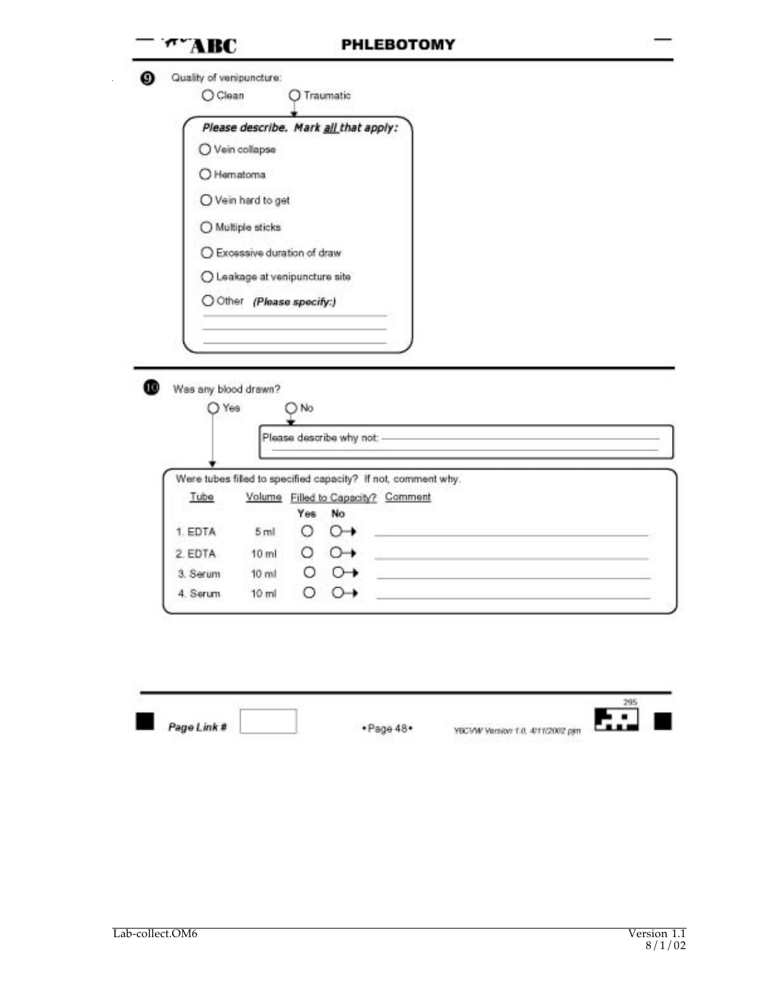| Quality of venipuncture:        |                              |                                |                                                                                                     |                                                                                           |
|---------------------------------|------------------------------|--------------------------------|-----------------------------------------------------------------------------------------------------|-------------------------------------------------------------------------------------------|
| O Clean                         |                              | O Traumatic                    |                                                                                                     |                                                                                           |
|                                 |                              |                                | Please describe. Mark all that apply:                                                               |                                                                                           |
|                                 | O Vein collapse              |                                |                                                                                                     |                                                                                           |
|                                 | O Hematoma                   |                                |                                                                                                     |                                                                                           |
|                                 | O Vein hard to get           |                                |                                                                                                     |                                                                                           |
|                                 |                              |                                |                                                                                                     |                                                                                           |
|                                 | O Multiple sticks            |                                |                                                                                                     |                                                                                           |
|                                 | O Excessive duration of draw |                                |                                                                                                     |                                                                                           |
|                                 |                              | O Leakage at venipuncture site |                                                                                                     |                                                                                           |
|                                 |                              | O Other (Please specify:)      |                                                                                                     |                                                                                           |
|                                 |                              |                                |                                                                                                     |                                                                                           |
| Was any blood drawn?<br>$O$ Yes |                              | ) No                           |                                                                                                     |                                                                                           |
|                                 |                              |                                |                                                                                                     |                                                                                           |
|                                 |                              |                                | Please describe why not: ---------                                                                  |                                                                                           |
|                                 |                              |                                |                                                                                                     |                                                                                           |
| Tube                            |                              |                                | Were tubes filled to specified capacity? If not, comment why.<br>Volume Filled to Capacity? Comment |                                                                                           |
|                                 |                              | Yes.<br>No                     |                                                                                                     |                                                                                           |
| 1. EDTA                         | 5 <sub>ml</sub>              | O                              | $\circ$                                                                                             |                                                                                           |
| 2. EDTA                         | $10$ m                       | $\circ$ $\circ$ $\rightarrow$  | the control of the control of the control of the control of the control of                          |                                                                                           |
| 3. Serum                        | 10 <sub>ml</sub>             | Ο<br>$\circ$                   |                                                                                                     | the control of the control of the control of the control of the control of the control of |

|             |           |                                  | and the state |  |
|-------------|-----------|----------------------------------|---------------|--|
| Page Link # | ·Page 48· | YBCVW Version 1.0, 4/11/2002 pim |               |  |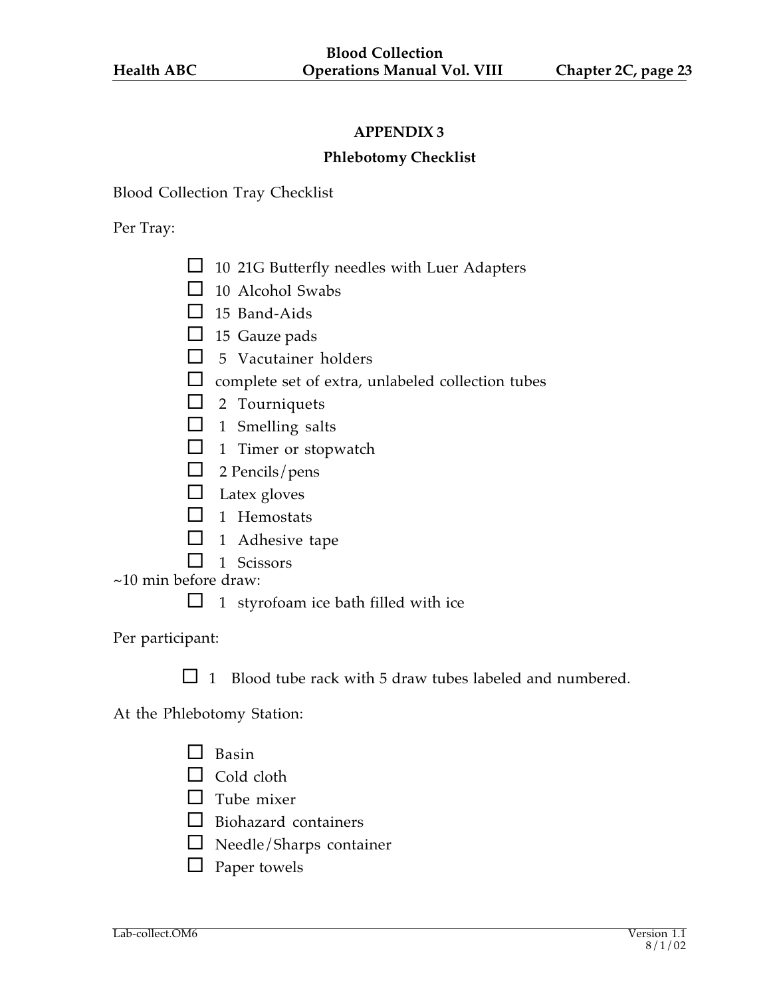#### **Phlebotomy Checklist**

Blood Collection Tray Checklist

#### Per Tray:

- $\Box$  10 21G Butterfly needles with Luer Adapters
- $\Box$  10 Alcohol Swabs
- $\Box$  15 Band-Aids
- $\Box$  15 Gauze pads
- $\Box$  5 Vacutainer holders
- $\Box$  complete set of extra, unlabeled collection tubes
- $\Box$  2 Tourniquets
- $\Box$  1 Smelling salts
- $\Box$  1 Timer or stopwatch
- $\Box$  2 Pencils/pens
- $\Box$  Latex gloves
- $\Box$  1 Hemostats
- $\Box$  1 Adhesive tape
- $\Box$  1 Scissors

~10 min before draw:

 $\Box$  1 styrofoam ice bath filled with ice

Per participant:

 $\Box$  1 Blood tube rack with 5 draw tubes labeled and numbered.

At the Phlebotomy Station:

- $\Box$  Basin
- $\Box$  Cold cloth
- $\Box$  Tube mixer
- $\Box$  Biohazard containers
- $\square$  Needle/Sharps container
- $\Box$  Paper towels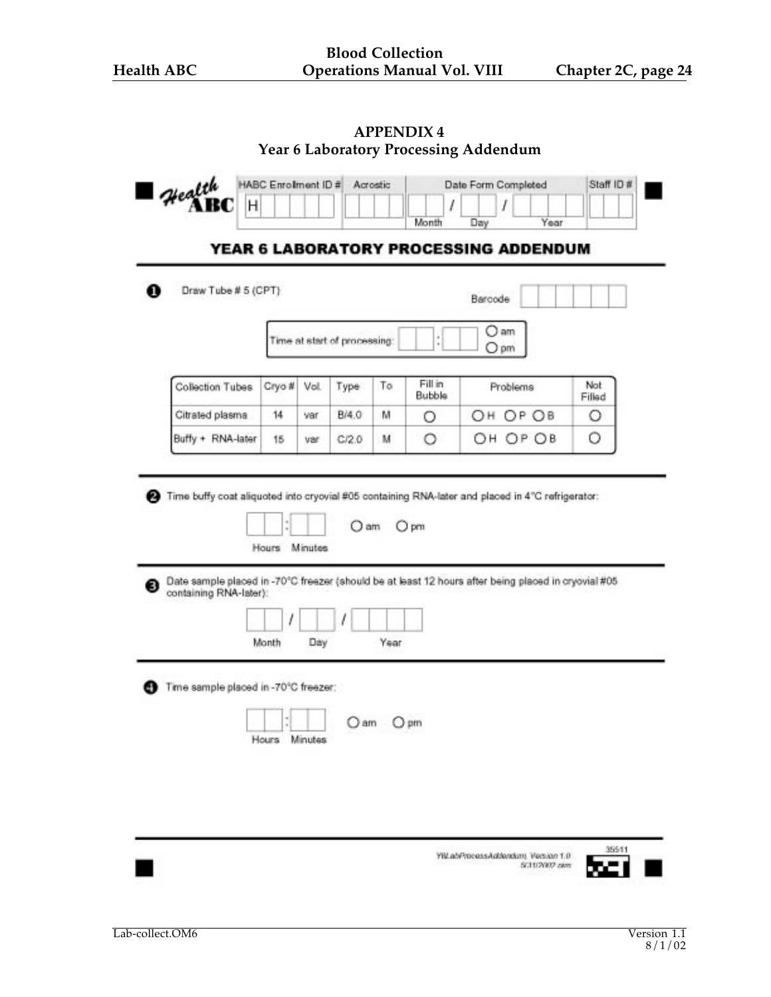| Health                                                                                                                        | HABC Enrolment ID #    |      |                              | Acrostic |                          |         | Date Form Completed                   | Staff ID #    |
|-------------------------------------------------------------------------------------------------------------------------------|------------------------|------|------------------------------|----------|--------------------------|---------|---------------------------------------|---------------|
| Η                                                                                                                             |                        |      |                              |          | l<br>Month               | Day     | Year                                  |               |
|                                                                                                                               |                        |      |                              |          |                          |         | YEAR 6 LABORATORY PROCESSING ADDENDUM |               |
| Draw Tube # 5 (CPT)                                                                                                           |                        |      |                              |          |                          | Barcode |                                       |               |
|                                                                                                                               |                        |      | Time at start of processing: |          | $\ddot{ }$               | O am    | Opm                                   |               |
| Collection Tubes                                                                                                              | Cryo #                 | Vol. | Type                         | To       | Fill in<br><b>Bubble</b> |         | Problems                              | Not<br>Filled |
| Citrated plasma                                                                                                               | 14                     | var  | B/4.0                        | м        | О                        | ОН      | OP OB                                 | О             |
| Buffy + RNA-later                                                                                                             | 15                     | var  | C/2.0                        | м        | О                        |         | OH OP OB                              | О             |
| Hours                                                                                                                         |                        |      |                              |          |                          |         |                                       |               |
| Date sample placed in -70°C freezer (should be at least 12 hours after being placed in cryovial #05<br>containing RNA-later): |                        |      |                              |          |                          |         |                                       |               |
| Time sample placed in -70°C freezer:                                                                                          | Month<br>Hours Minutes | Day  | ) am                         | Year     | $O$ pm                   |         |                                       |               |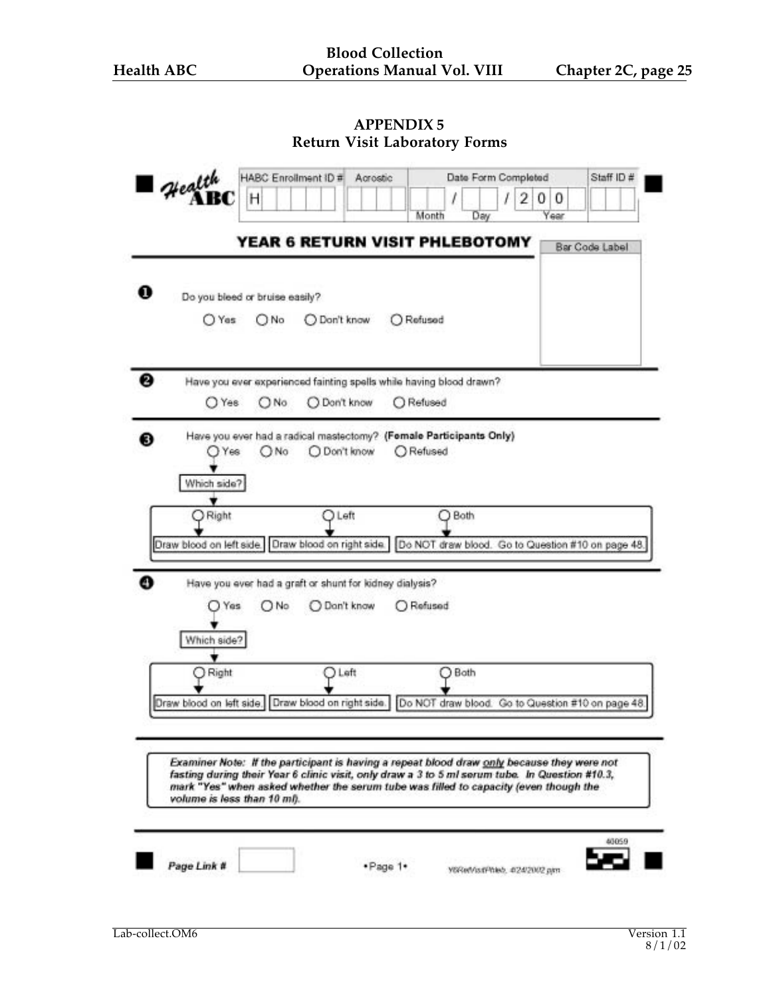| Health                      | HABC Enrollment ID #                  | Acrostic                                                |                                                                                                                                                                                                                                                                                      | Date Form Completed      | Staff ID #     |
|-----------------------------|---------------------------------------|---------------------------------------------------------|--------------------------------------------------------------------------------------------------------------------------------------------------------------------------------------------------------------------------------------------------------------------------------------|--------------------------|----------------|
|                             | н                                     |                                                         | Month<br>Day                                                                                                                                                                                                                                                                         | 2<br>0<br>0<br>ı<br>Year |                |
|                             |                                       |                                                         | <b>YEAR 6 RETURN VISIT PHLEBOTOMY</b>                                                                                                                                                                                                                                                |                          | Bar Code Label |
| O Yes                       | Do you bleed or bruise easily?<br>ONo | O Don't know                                            | O Refused                                                                                                                                                                                                                                                                            |                          |                |
|                             |                                       |                                                         | Have you ever experienced fainting spells while having blood drawn?                                                                                                                                                                                                                  |                          |                |
| O Yes                       | ONo                                   | Don't know                                              | Refused                                                                                                                                                                                                                                                                              |                          |                |
| Yes<br>Which side?          | ( ) No                                | O Don't know                                            | Have you ever had a radical mastectomy? (Fornale Participants Only)<br>Refused                                                                                                                                                                                                       |                          |                |
| Right                       |                                       | Left                                                    | Both<br>Draw blood on left side. Draw blood on right side. Do NOT draw blood. Go to Question #10 on page 48.                                                                                                                                                                         |                          |                |
|                             |                                       | Have you ever had a graft or shunt for kidney dialysis? |                                                                                                                                                                                                                                                                                      |                          |                |
| Yes                         | O No                                  | O Dan't know                                            | O Refused                                                                                                                                                                                                                                                                            |                          |                |
| Which side?                 |                                       |                                                         |                                                                                                                                                                                                                                                                                      |                          |                |
| Right                       |                                       | Left                                                    | Both                                                                                                                                                                                                                                                                                 |                          |                |
|                             |                                       |                                                         | Draw blood on left side. Draw blood on right side. Do NOT draw blood. Go to Question #10 on page 48.                                                                                                                                                                                 |                          |                |
| volume is less than 10 mf). |                                       |                                                         | Examiner Note: If the participant is having a repeat blood draw only because they were not<br>fasting during their Year 6 clinic visit, only draw a 3 to 5 ml serum tube. In Question #10.3,<br>mark "Yes" when asked whether the serum tube was filled to capacity (even though the |                          |                |
|                             |                                       |                                                         |                                                                                                                                                                                                                                                                                      |                          |                |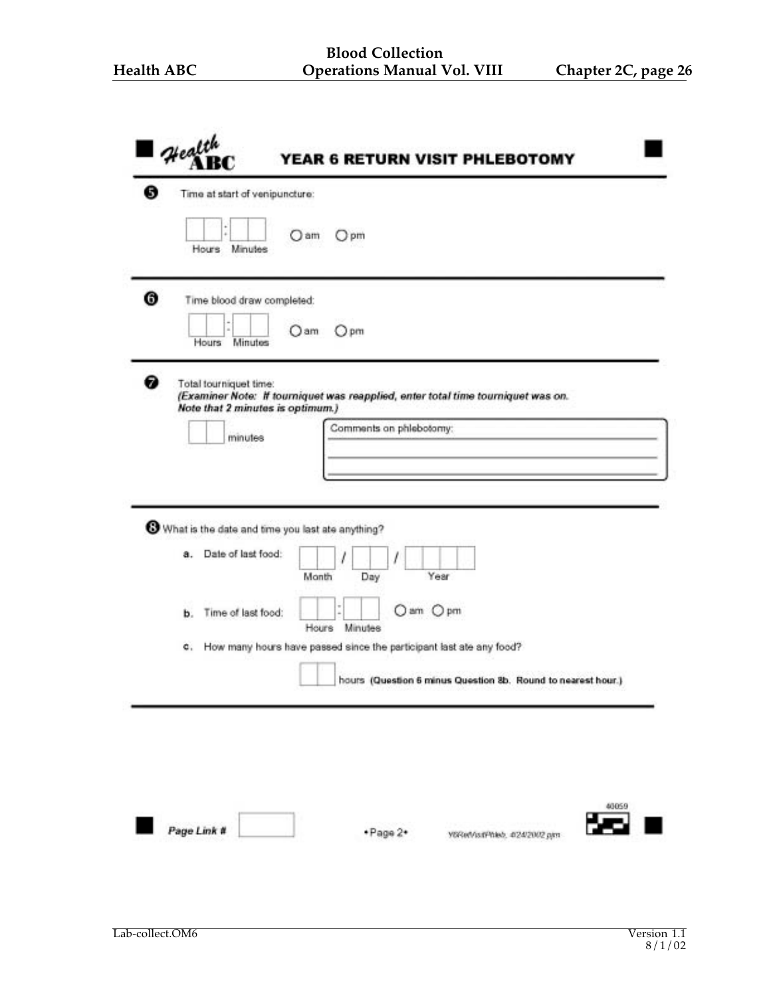| в<br>Time at start of venipuncture: |                                                                                  |
|-------------------------------------|----------------------------------------------------------------------------------|
| Hours Minutes                       | O am<br>(Jpm                                                                     |
| ❻<br>Time blood draw completed:     |                                                                                  |
| Hours<br>Minutes                    | Oam<br>$O$ pm                                                                    |
| 0<br>Total tourniquet time:         |                                                                                  |
| Note that 2 minutes is optimum.)    | (Examiner Note: If tourniquet was reapplied, enter total time tourniquet was on. |
|                                     | Comments on phiebotomy:                                                          |
| minutes                             |                                                                                  |
|                                     |                                                                                  |
|                                     |                                                                                  |
|                                     | What is the date and time you last ate anything?                                 |
| Date of last food:<br>a.            |                                                                                  |
|                                     | Year<br>Month<br>Day                                                             |
|                                     |                                                                                  |
| Time of last food:<br>ь.            | Oam Opm<br>Minutes<br>Hours                                                      |
| c.                                  | How many hours have passed since the participant last ate any food?              |
|                                     |                                                                                  |
|                                     | hours (Question 6 minus Question 8b. Round to nearest hour.)                     |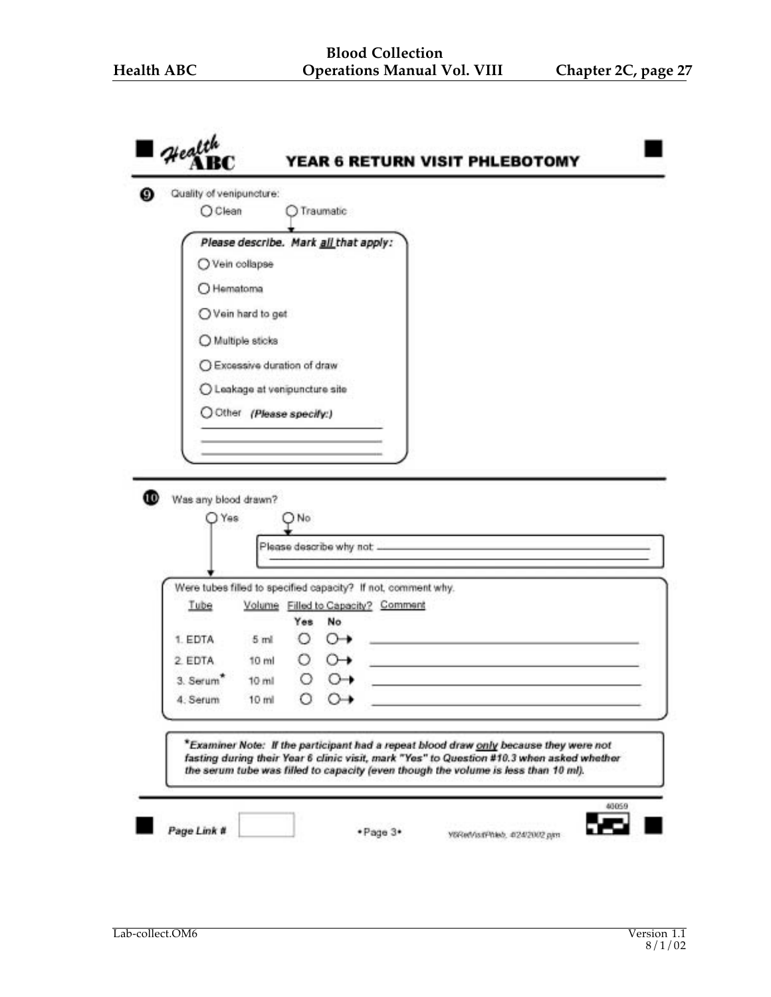| O Clean               | Quality of venipuncture:  | Traumatic                                                                                                                                                                                                                                                                |  |                                                                            |  |
|-----------------------|---------------------------|--------------------------------------------------------------------------------------------------------------------------------------------------------------------------------------------------------------------------------------------------------------------------|--|----------------------------------------------------------------------------|--|
|                       |                           | Please describe. Mark all that apply:                                                                                                                                                                                                                                    |  |                                                                            |  |
|                       | O Vein collapse           |                                                                                                                                                                                                                                                                          |  |                                                                            |  |
|                       | O Hematoma                |                                                                                                                                                                                                                                                                          |  |                                                                            |  |
|                       | ○ Vein hard to get        |                                                                                                                                                                                                                                                                          |  |                                                                            |  |
|                       | O Multiple sticks         |                                                                                                                                                                                                                                                                          |  |                                                                            |  |
|                       |                           | ○ Excessive duration of draw                                                                                                                                                                                                                                             |  |                                                                            |  |
|                       |                           | O Leakage at venipuncture site                                                                                                                                                                                                                                           |  |                                                                            |  |
|                       | O Other (Please specify:) |                                                                                                                                                                                                                                                                          |  |                                                                            |  |
|                       |                           |                                                                                                                                                                                                                                                                          |  |                                                                            |  |
| Was any blood drawn?  | Yes                       | ) No                                                                                                                                                                                                                                                                     |  |                                                                            |  |
|                       |                           |                                                                                                                                                                                                                                                                          |  |                                                                            |  |
|                       |                           | Were tubes filled to specified capacity? If not, comment why.                                                                                                                                                                                                            |  |                                                                            |  |
| Tube                  |                           | Volume Filled to Capacity? Comment                                                                                                                                                                                                                                       |  |                                                                            |  |
| 1. EDTA               | 5 <sub>ml</sub>           | Yes<br>No<br>O<br>$\circ$                                                                                                                                                                                                                                                |  | the control of the control of the control of the control of the control of |  |
| 2 EDTA                | 10 ml                     | О.<br>$\circ$                                                                                                                                                                                                                                                            |  |                                                                            |  |
| 3. Serum <sup>*</sup> | $10$ ml                   | Ο<br>$\circ$                                                                                                                                                                                                                                                             |  |                                                                            |  |
| 4. Serum              | $10$ ml                   |                                                                                                                                                                                                                                                                          |  |                                                                            |  |
|                       |                           | *Examiner Note: If the participant had a repeat blood draw only because they were not<br>fasting during their Year 6 clinic visit, mark "Yes" to Question #10.3 when asked whether<br>the serum tube was filled to capacity (even though the volume is less than 10 ml). |  |                                                                            |  |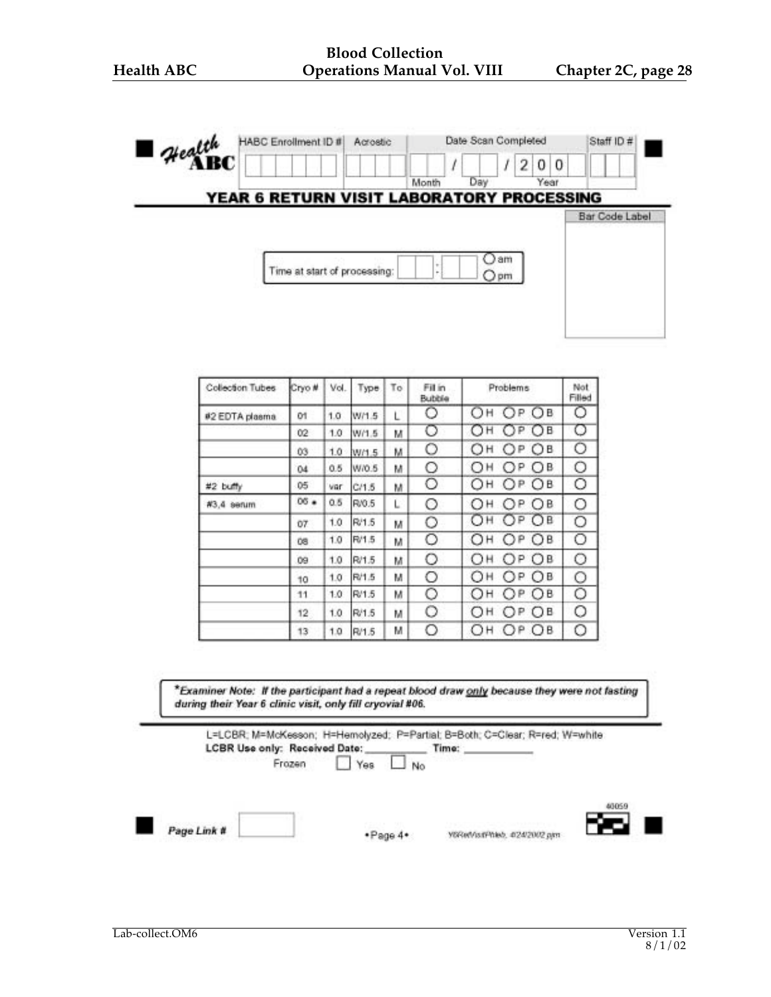| Health<br>Ш | HABC Enrollment ID #                      | Acrostic |                                       |  | Date Scan Completed |    |      | Staff ID # |                |  |  |
|-------------|-------------------------------------------|----------|---------------------------------------|--|---------------------|----|------|------------|----------------|--|--|
| \BC         |                                           |          |                                       |  |                     | 2  | 0    | 0          |                |  |  |
|             |                                           |          | Month                                 |  | Day                 |    | Year |            |                |  |  |
|             | YEAR 6 RETURN VISIT LABORATORY PROCESSING |          |                                       |  |                     |    |      |            |                |  |  |
|             |                                           |          |                                       |  |                     |    |      |            | Bar Code Label |  |  |
|             |                                           |          |                                       |  |                     |    |      |            |                |  |  |
|             |                                           |          |                                       |  |                     | am |      |            |                |  |  |
|             | Time at start of processing:              |          | $\scriptstyle\rm{m}$<br>$\frac{1}{2}$ |  | $Q$ pm              |    |      |            |                |  |  |
|             |                                           |          |                                       |  |                     |    |      |            |                |  |  |
|             |                                           |          |                                       |  |                     |    |      |            |                |  |  |
|             |                                           |          |                                       |  |                     |    |      |            |                |  |  |

| Collection Tubes | Cryo #         | Vol. | Type  | To | Fill in<br>Bubble | Problems       | Not<br>Filled |
|------------------|----------------|------|-------|----|-------------------|----------------|---------------|
| #2 EDTA plasma   | O1             | 1.0  | W/1.5 | L  | Ο                 | OP OB<br>Он    | O             |
|                  | 02             | 1.0  | W/1.5 | м  | σ                 | ОН<br>OP OB    | O             |
|                  | Ů3             | 1.0  | W/1.5 | м  | O                 | ОН<br>OP OB    | O             |
|                  | 04             | 0.5  | W/0.5 | м  | O                 | OH<br>OP OB    | O             |
| #2 buffy         | 05             | var  | C/1.5 | м  | O                 | OP OB<br>ОН    | Ο             |
| #3,4 serum       | $06$ $\bullet$ | 0.5  | R/0.5 | L  | O                 | OP OB<br>ОН    | О             |
|                  | O7             | 1.0  | R/1.5 | M  | O                 | ОН ОР ОВ       | О             |
|                  | Ü8             | 1.0  | R/1.5 | м  | O                 | OP OB<br>ОН    | O             |
|                  | 09             | 1.0  | R/1.5 | м  | O                 | ОН ОР ОВ       | O             |
|                  | 10             | 1.0  | R/1.5 | м  | O                 | OP<br>ОН<br>OB | Ο             |
|                  | 11             | 1.0  | R/1.5 | м  | O                 | Он<br>OP OB    | O             |
|                  | 12             | 1.0  | R/1.5 | м  | O                 | ОН<br>OP OB    | Ο             |
|                  | 13             | 1.0  | R/1.5 | м  | О                 | OP OB<br>ОН    | Ο             |

\*Examiner Note: If the participant had a repeat blood draw only because they were not fasting during their Year 6 clinic visit, only fill cryovial #06.